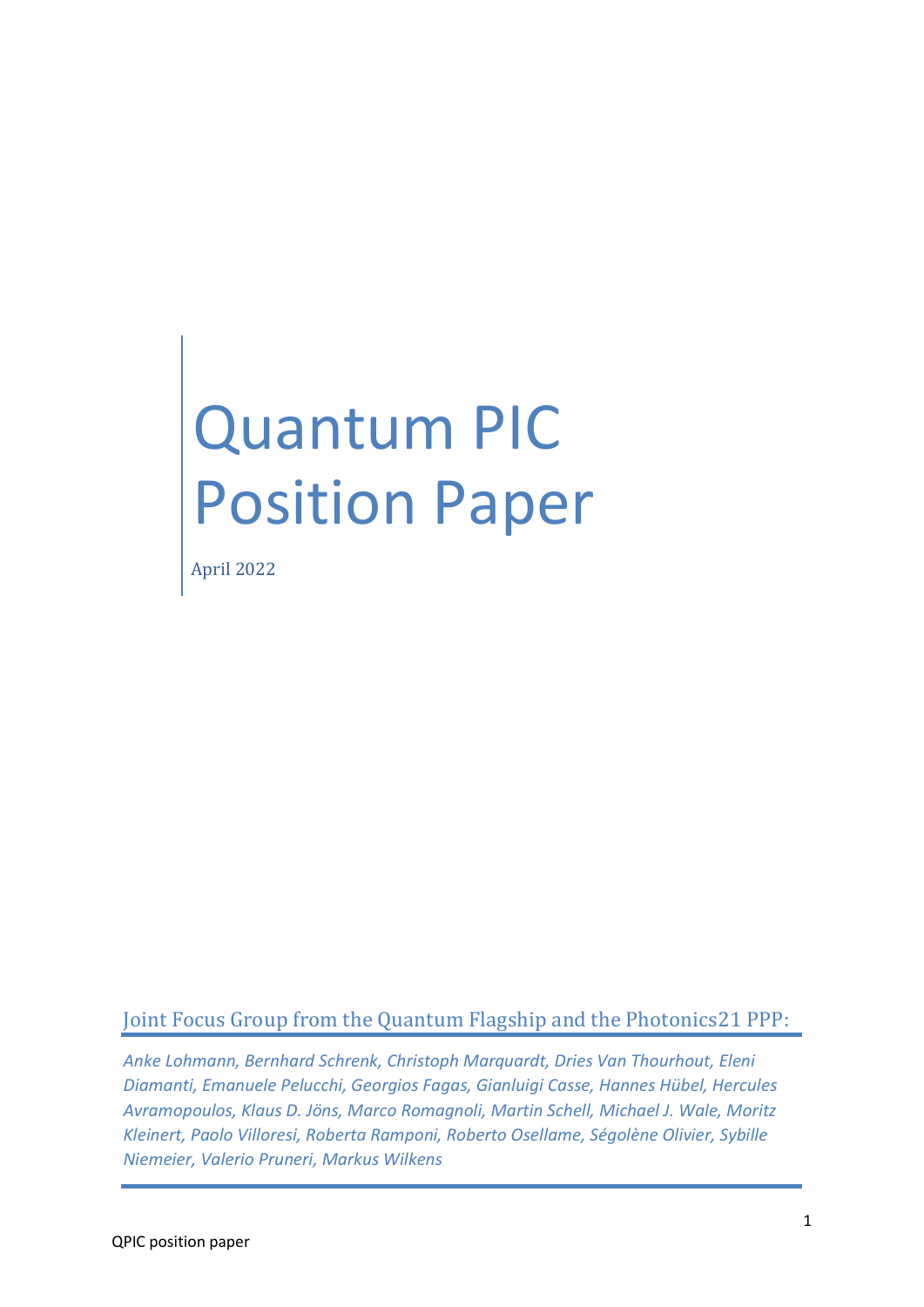# Quantum PIC Position Paper

April 2022

# Joint Focus Group from the Quantum Flagship and the Photonics21 PPP:

*Anke Lohmann, Bernhard Schrenk, Christoph Marquardt, Dries Van Thourhout, Eleni Diamanti, Emanuele Pelucchi, Georgios Fagas, Gianluigi Casse, Hannes Hübel, Hercules Avramopoulos, Klaus D. Jöns, Marco Romagnoli, Martin Schell, Michael J. Wale, Moritz Kleinert, Paolo Villoresi, Roberta Ramponi, Roberto Osellame, Ségolène Olivier, Sybille Niemeier, Valerio Pruneri, Markus Wilkens*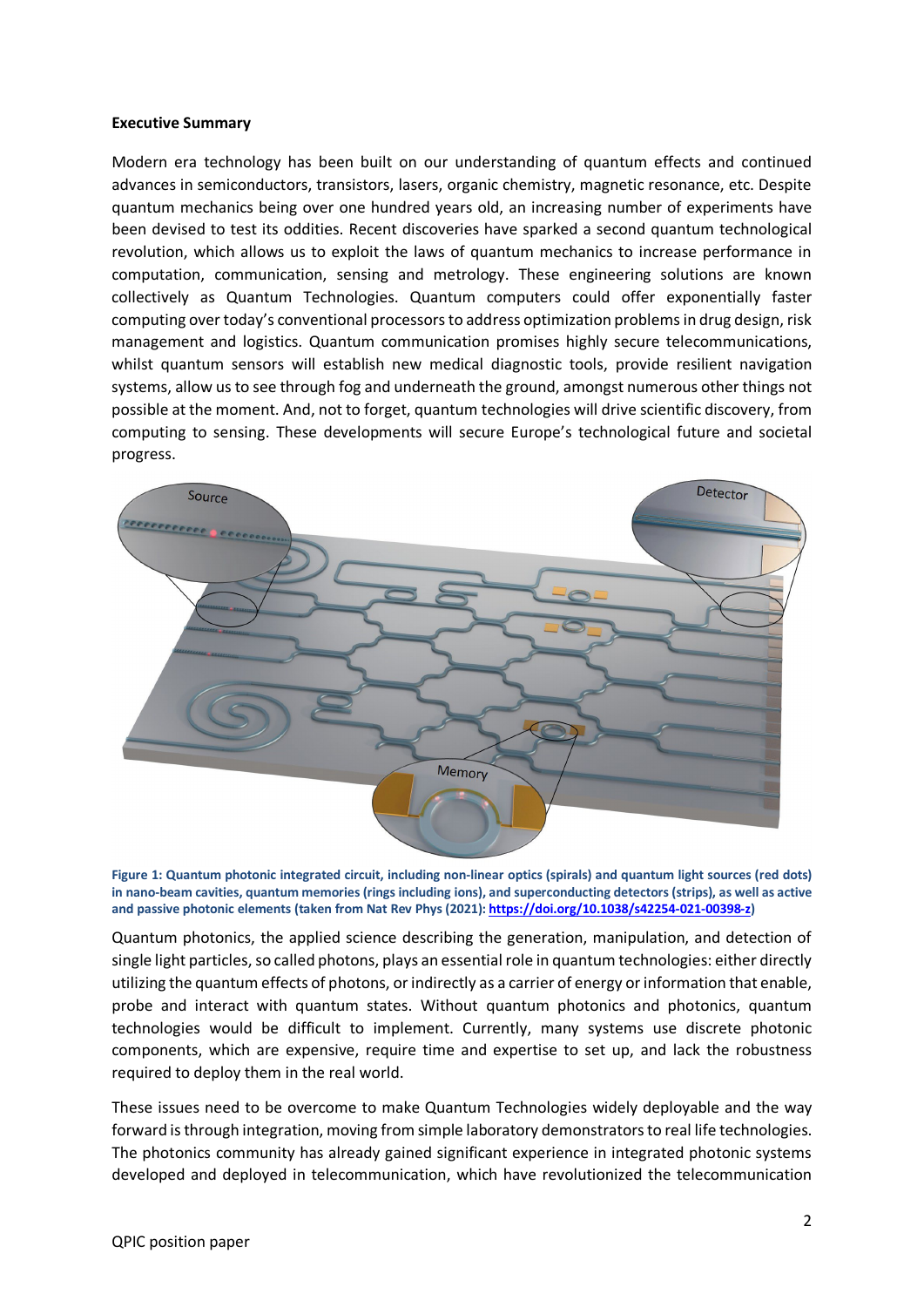#### **Executive Summary**

Modern era technology has been built on our understanding of quantum effects and continued advances in semiconductors, transistors, lasers, organic chemistry, magnetic resonance, etc. Despite quantum mechanics being over one hundred years old, an increasing number of experiments have been devised to test its oddities. Recent discoveries have sparked a second quantum technological revolution, which allows us to exploit the laws of quantum mechanics to increase performance in computation, communication, sensing and metrology. These engineering solutions are known collectively as Quantum Technologies. Quantum computers could offer exponentially faster computing over today's conventional processors to address optimization problems in drug design, risk management and logistics. Quantum communication promises highly secure telecommunications, whilst quantum sensors will establish new medical diagnostic tools, provide resilient navigation systems, allow us to see through fog and underneath the ground, amongst numerous other things not possible at the moment. And, not to forget, quantum technologies will drive scientific discovery, from computing to sensing. These developments will secure Europe's technological future and societal progress.



**Figure 1: Quantum photonic integrated circuit, including non-linear optics (spirals) and quantum light sources (red dots) in nano-beam cavities, quantum memories (rings including ions), and superconducting detectors (strips), as well as active and passive photonic elements (taken from Nat Rev Phys (2021)[: https://doi.org/10.1038/s42254-021-00398-z\)](https://doi.org/10.1038/s42254-021-00398-z)**

Quantum photonics, the applied science describing the generation, manipulation, and detection of single light particles, so called photons, plays an essential role in quantum technologies: either directly utilizing the quantum effects of photons, or indirectly as a carrier of energy or information that enable, probe and interact with quantum states. Without quantum photonics and photonics, quantum technologies would be difficult to implement. Currently, many systems use discrete photonic components, which are expensive, require time and expertise to set up, and lack the robustness required to deploy them in the real world.

These issues need to be overcome to make Quantum Technologies widely deployable and the way forward is through integration, moving from simple laboratory demonstrators to real life technologies. The photonics community has already gained significant experience in integrated photonic systems developed and deployed in telecommunication, which have revolutionized the telecommunication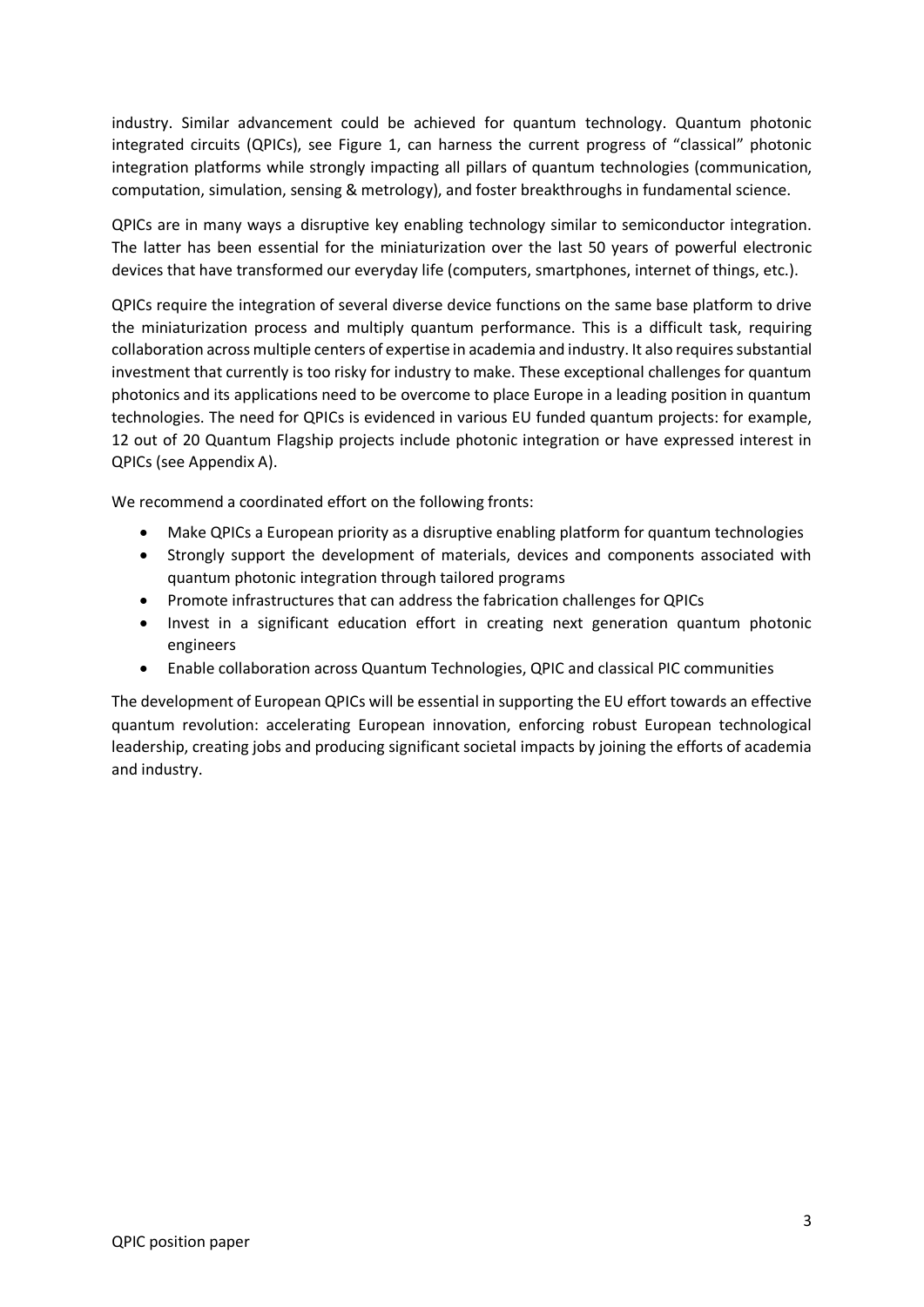industry. Similar advancement could be achieved for quantum technology. Quantum photonic integrated circuits (QPICs), see Figure 1, can harness the current progress of "classical" photonic integration platforms while strongly impacting all pillars of quantum technologies (communication, computation, simulation, sensing & metrology), and foster breakthroughs in fundamental science.

QPICs are in many ways a disruptive key enabling technology similar to semiconductor integration. The latter has been essential for the miniaturization over the last 50 years of powerful electronic devices that have transformed our everyday life (computers, smartphones, internet of things, etc.).

QPICs require the integration of several diverse device functions on the same base platform to drive the miniaturization process and multiply quantum performance. This is a difficult task, requiring collaboration across multiple centers of expertise in academia and industry. It also requires substantial investment that currently is too risky for industry to make. These exceptional challenges for quantum photonics and its applications need to be overcome to place Europe in a leading position in quantum technologies. The need for QPICs is evidenced in various EU funded quantum projects: for example, 12 out of 20 Quantum Flagship projects include photonic integration or have expressed interest in QPICs (see Appendix A).

We recommend a coordinated effort on the following fronts:

- Make QPICs a European priority as a disruptive enabling platform for quantum technologies
- Strongly support the development of materials, devices and components associated with quantum photonic integration through tailored programs
- Promote infrastructures that can address the fabrication challenges for QPICs
- Invest in a significant education effort in creating next generation quantum photonic engineers
- Enable collaboration across Quantum Technologies, QPIC and classical PIC communities

The development of European QPICs will be essential in supporting the EU effort towards an effective quantum revolution: accelerating European innovation, enforcing robust European technological leadership, creating jobs and producing significant societal impacts by joining the efforts of academia and industry.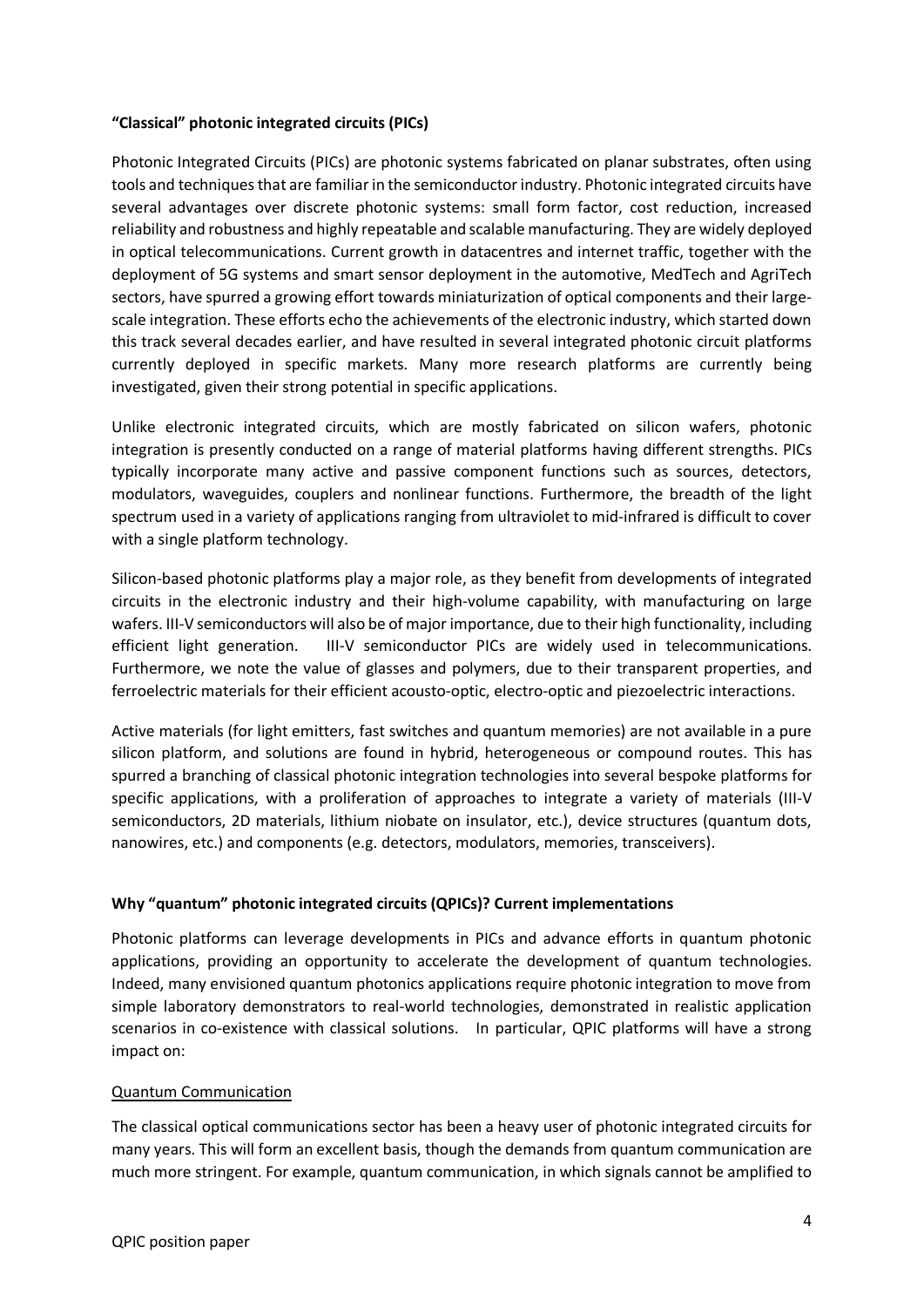# **"Classical" photonic integrated circuits (PICs)**

Photonic Integrated Circuits (PICs) are photonic systems fabricated on planar substrates, often using tools and techniques that are familiar in the semiconductor industry. Photonic integrated circuits have several advantages over discrete photonic systems: small form factor, cost reduction, increased reliability and robustness and highly repeatable and scalable manufacturing. They are widely deployed in optical telecommunications. Current growth in datacentres and internet traffic, together with the deployment of 5G systems and smart sensor deployment in the automotive, MedTech and AgriTech sectors, have spurred a growing effort towards miniaturization of optical components and their largescale integration. These efforts echo the achievements of the electronic industry, which started down this track several decades earlier, and have resulted in several integrated photonic circuit platforms currently deployed in specific markets. Many more research platforms are currently being investigated, given their strong potential in specific applications.

Unlike electronic integrated circuits, which are mostly fabricated on silicon wafers, photonic integration is presently conducted on a range of material platforms having different strengths. PICs typically incorporate many active and passive component functions such as sources, detectors, modulators, waveguides, couplers and nonlinear functions. Furthermore, the breadth of the light spectrum used in a variety of applications ranging from ultraviolet to mid-infrared is difficult to cover with a single platform technology.

Silicon-based photonic platforms play a major role, as they benefit from developments of integrated circuits in the electronic industry and their high-volume capability, with manufacturing on large wafers. III-V semiconductors will also be of major importance, due to their high functionality, including efficient light generation. III-V semiconductor PICs are widely used in telecommunications. Furthermore, we note the value of glasses and polymers, due to their transparent properties, and ferroelectric materials for their efficient acousto-optic, electro-optic and piezoelectric interactions.

Active materials (for light emitters, fast switches and quantum memories) are not available in a pure silicon platform, and solutions are found in hybrid, heterogeneous or compound routes. This has spurred a branching of classical photonic integration technologies into several bespoke platforms for specific applications, with a proliferation of approaches to integrate a variety of materials (III-V semiconductors, 2D materials, lithium niobate on insulator, etc.), device structures (quantum dots, nanowires, etc.) and components (e.g. detectors, modulators, memories, transceivers).

# **Why "quantum" photonic integrated circuits (QPICs)? Current implementations**

Photonic platforms can leverage developments in PICs and advance efforts in quantum photonic applications, providing an opportunity to accelerate the development of quantum technologies. Indeed, many envisioned quantum photonics applications require photonic integration to move from simple laboratory demonstrators to real-world technologies, demonstrated in realistic application scenarios in co-existence with classical solutions. In particular, QPIC platforms will have a strong impact on:

#### Quantum Communication

The classical optical communications sector has been a heavy user of photonic integrated circuits for many years. This will form an excellent basis, though the demands from quantum communication are much more stringent. For example, quantum communication, in which signals cannot be amplified to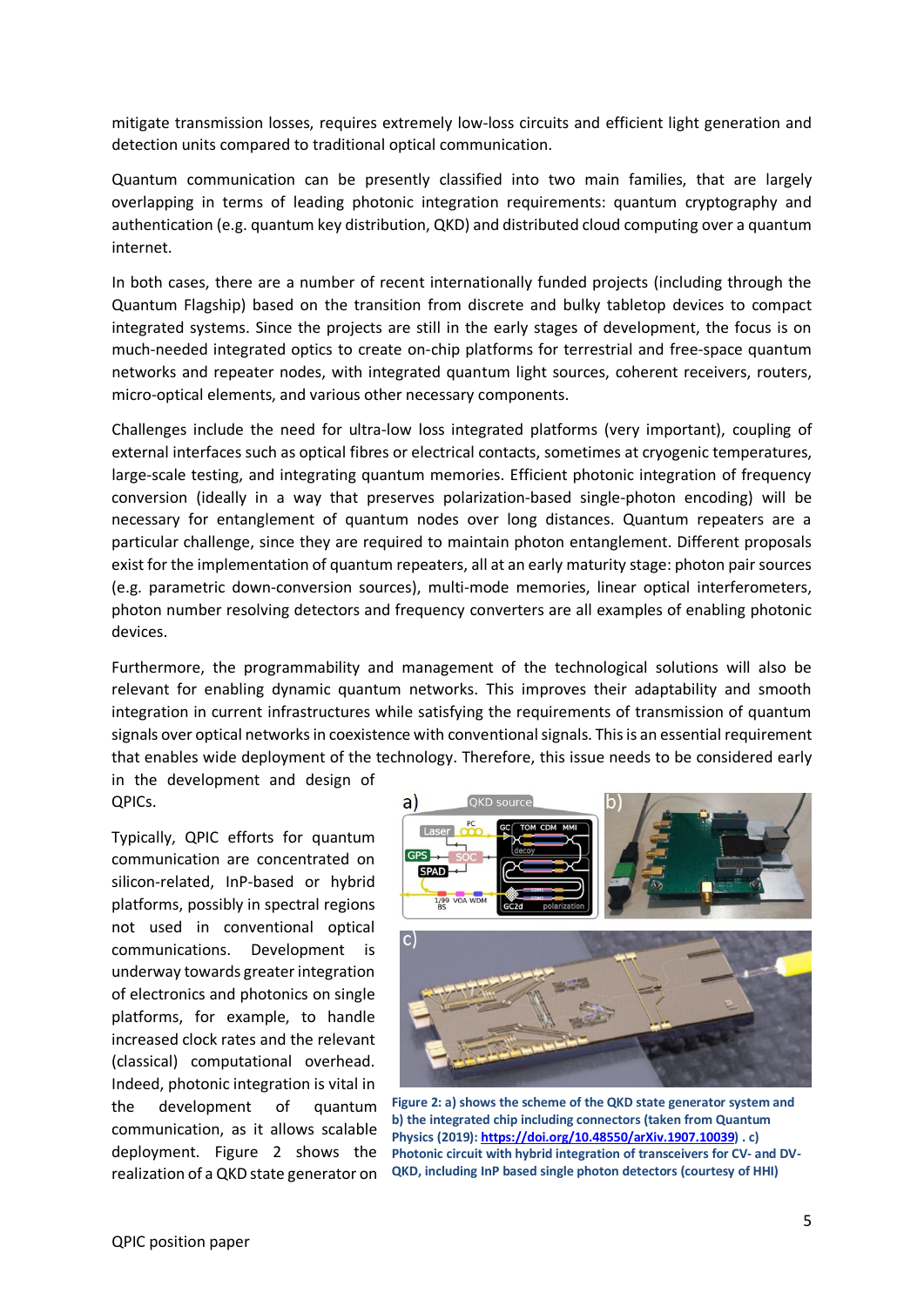mitigate transmission losses, requires extremely low-loss circuits and efficient light generation and detection units compared to traditional optical communication.

Quantum communication can be presently classified into two main families, that are largely overlapping in terms of leading photonic integration requirements: quantum cryptography and authentication (e.g. quantum key distribution, QKD) and distributed cloud computing over a quantum internet.

In both cases, there are a number of recent internationally funded projects (including through the Quantum Flagship) based on the transition from discrete and bulky tabletop devices to compact integrated systems. Since the projects are still in the early stages of development, the focus is on much-needed integrated optics to create on-chip platforms for terrestrial and free-space quantum networks and repeater nodes, with integrated quantum light sources, coherent receivers, routers, micro-optical elements, and various other necessary components.

Challenges include the need for ultra-low loss integrated platforms (very important), coupling of external interfaces such as optical fibres or electrical contacts, sometimes at cryogenic temperatures, large-scale testing, and integrating quantum memories. Efficient photonic integration of frequency conversion (ideally in a way that preserves polarization-based single-photon encoding) will be necessary for entanglement of quantum nodes over long distances. Quantum repeaters are a particular challenge, since they are required to maintain photon entanglement. Different proposals exist for the implementation of quantum repeaters, all at an early maturity stage: photon pair sources (e.g. parametric down-conversion sources), multi-mode memories, linear optical interferometers, photon number resolving detectors and frequency converters are all examples of enabling photonic devices.

Furthermore, the programmability and management of the technological solutions will also be relevant for enabling dynamic quantum networks. This improves their adaptability and smooth integration in current infrastructures while satisfying the requirements of transmission of quantum signals over optical networks in coexistence with conventional signals. This is an essential requirement that enables wide deployment of the technology. Therefore, this issue needs to be considered early

in the development and design of QPICs.

Typically, QPIC efforts for quantum communication are concentrated on silicon-related, InP-based or hybrid platforms, possibly in spectral regions not used in conventional optical communications. Development is underway towards greaterintegration of electronics and photonics on single platforms, for example, to handle increased clock rates and the relevant (classical) computational overhead. Indeed, photonic integration is vital in the development of quantum communication, as it allows scalable deployment. Figure 2 shows the realization of a QKD state generator on



**Figure 2: a) shows the scheme of the QKD state generator system and b) the integrated chip including connectors (taken from Quantum Physics (2019)[: https://doi.org/10.48550/arXiv.1907.10039\)](https://doi.org/10.48550/arXiv.1907.10039) . c) Photonic circuit with hybrid integration of transceivers for CV- and DV-QKD, including InP based single photon detectors (courtesy of HHI)**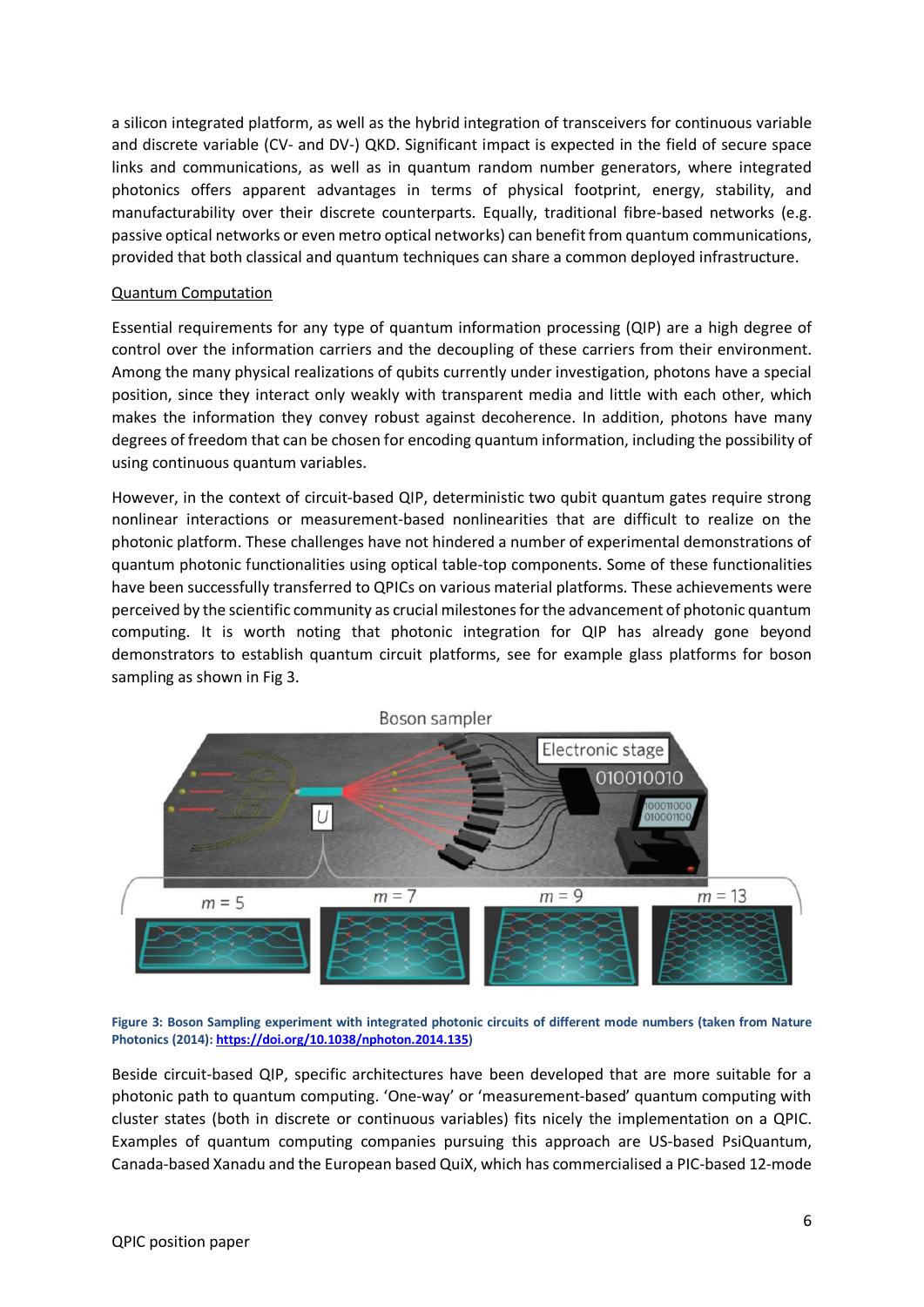a silicon integrated platform, as well as the hybrid integration of transceivers for continuous variable and discrete variable (CV- and DV-) QKD. Significant impact is expected in the field of secure space links and communications, as well as in quantum random number generators, where integrated photonics offers apparent advantages in terms of physical footprint, energy, stability, and manufacturability over their discrete counterparts. Equally, traditional fibre-based networks (e.g. passive optical networks or even metro optical networks) can benefit from quantum communications, provided that both classical and quantum techniques can share a common deployed infrastructure.

#### Quantum Computation

Essential requirements for any type of quantum information processing (QIP) are a high degree of control over the information carriers and the decoupling of these carriers from their environment. Among the many physical realizations of qubits currently under investigation, photons have a special position, since they interact only weakly with transparent media and little with each other, which makes the information they convey robust against decoherence. In addition, photons have many degrees of freedom that can be chosen for encoding quantum information, including the possibility of using continuous quantum variables.

However, in the context of circuit-based QIP, deterministic two qubit quantum gates require strong nonlinear interactions or measurement-based nonlinearities that are difficult to realize on the photonic platform. These challenges have not hindered a number of experimental demonstrations of quantum photonic functionalities using optical table-top components. Some of these functionalities have been successfully transferred to QPICs on various material platforms. These achievements were perceived by the scientific community as crucial milestones for the advancement of photonic quantum computing. It is worth noting that photonic integration for QIP has already gone beyond demonstrators to establish quantum circuit platforms, see for example glass platforms for boson sampling as shown in Fig 3.



**Figure 3: Boson Sampling experiment with integrated photonic circuits of different mode numbers (taken from Nature Photonics (2014)[: https://doi.org/10.1038/nphoton.2014.135\)](https://doi.org/10.1038/nphoton.2014.135)**

Beside circuit-based QIP, specific architectures have been developed that are more suitable for a photonic path to quantum computing. 'One-way' or 'measurement-based' quantum computing with cluster states (both in discrete or continuous variables) fits nicely the implementation on a QPIC. Examples of quantum computing companies pursuing this approach are US-based PsiQuantum, Canada-based Xanadu and the European based QuiX, which has commercialised a PIC-based 12-mode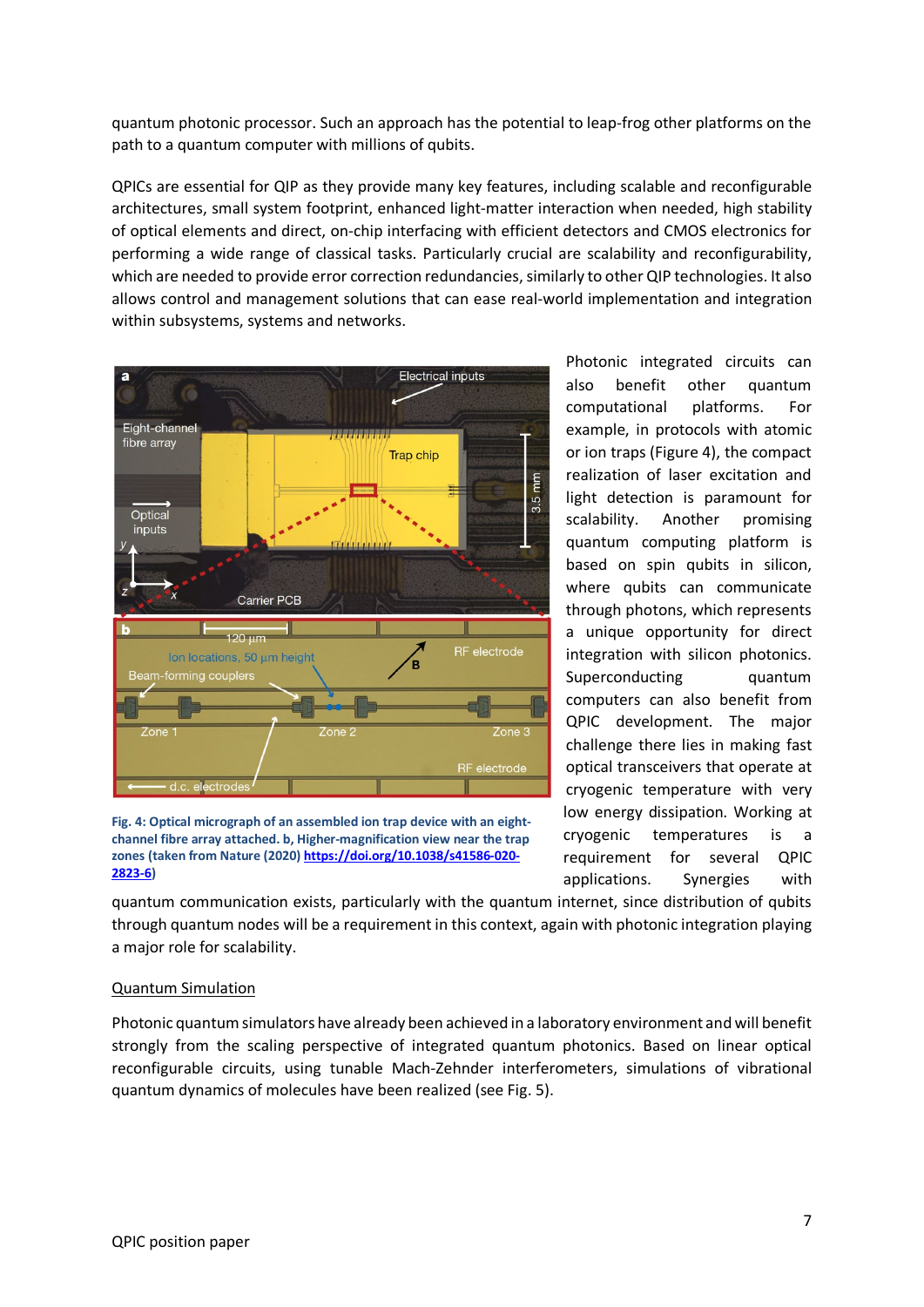quantum photonic processor. Such an approach has the potential to leap-frog other platforms on the path to a quantum computer with millions of qubits.

QPICs are essential for QIP as they provide many key features, including scalable and reconfigurable architectures, small system footprint, enhanced light-matter interaction when needed, high stability of optical elements and direct, on-chip interfacing with efficient detectors and CMOS electronics for performing a wide range of classical tasks. Particularly crucial are scalability and reconfigurability, which are needed to provide error correction redundancies, similarly to other QIP technologies. It also allows control and management solutions that can ease real-world implementation and integration within subsystems, systems and networks.



**Fig. 4: Optical micrograph of an assembled ion trap device with an eightchannel fibre array attached. b, Higher-magnification view near the trap zones (taken from Nature (2020[\) https://doi.org/10.1038/s41586-020-](https://doi.org/10.1038/s41586-020-2823-6) [2823-6\)](https://doi.org/10.1038/s41586-020-2823-6)**

Photonic integrated circuits can also benefit other quantum computational platforms. For example, in protocols with atomic or ion traps (Figure 4), the compact realization of laser excitation and light detection is paramount for scalability. Another promising quantum computing platform is based on spin qubits in silicon, where qubits can communicate through photons, which represents a unique opportunity for direct integration with silicon photonics. Superconducting quantum computers can also benefit from QPIC development. The major challenge there lies in making fast optical transceivers that operate at cryogenic temperature with very low energy dissipation. Working at cryogenic temperatures is a requirement for several QPIC applications. Synergies with

quantum communication exists, particularly with the quantum internet, since distribution of qubits through quantum nodes will be a requirement in this context, again with photonic integration playing a major role for scalability.

#### Quantum Simulation

Photonic quantum simulators have already been achieved in a laboratory environment and will benefit strongly from the scaling perspective of integrated quantum photonics. Based on linear optical reconfigurable circuits, using tunable Mach-Zehnder interferometers, simulations of vibrational quantum dynamics of molecules have been realized (see Fig. 5).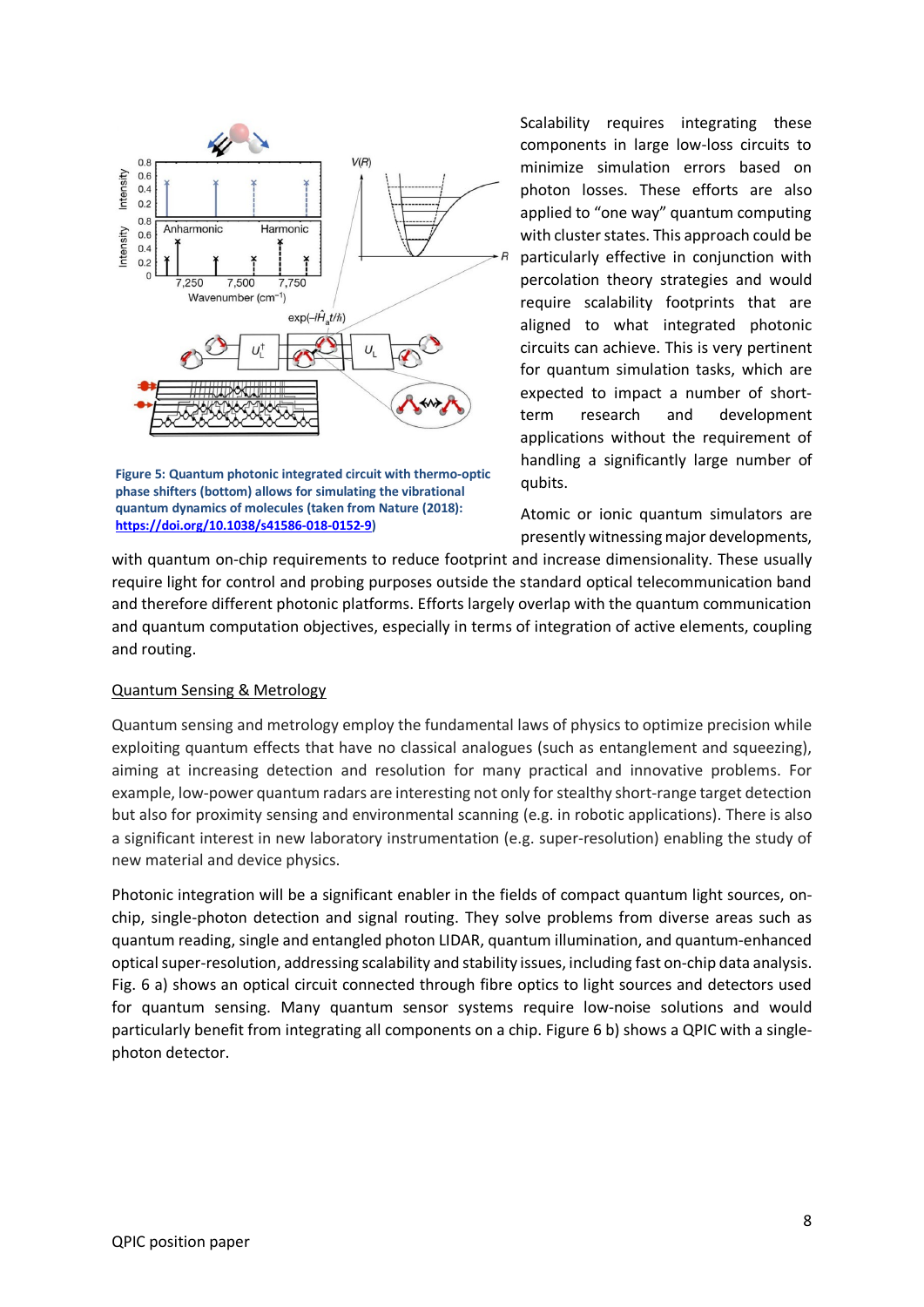

**Figure 5: Quantum photonic integrated circuit with thermo-optic phase shifters (bottom) allows for simulating the vibrational quantum dynamics of molecules (taken from Nature (2018): [https://doi.org/10.1038/s41586-018-0152-9\)](https://doi.org/10.1038/s41586-018-0152-9)**

Scalability requires integrating these components in large low-loss circuits to minimize simulation errors based on photon losses. These efforts are also applied to "one way" quantum computing with cluster states. This approach could be particularly effective in conjunction with percolation theory strategies and would require scalability footprints that are aligned to what integrated photonic circuits can achieve. This is very pertinent for quantum simulation tasks, which are expected to impact a number of shortterm research and development applications without the requirement of handling a significantly large number of qubits.

Atomic or ionic quantum simulators are presently witnessing major developments,

with quantum on-chip requirements to reduce footprint and increase dimensionality. These usually require light for control and probing purposes outside the standard optical telecommunication band and therefore different photonic platforms. Efforts largely overlap with the quantum communication and quantum computation objectives, especially in terms of integration of active elements, coupling and routing.

#### Quantum Sensing & Metrology

Quantum sensing and metrology employ the fundamental laws of physics to optimize precision while exploiting quantum effects that have no classical analogues (such as entanglement and squeezing), aiming at increasing detection and resolution for many practical and innovative problems. For example, low-power quantum radars are interesting not only for stealthy short-range target detection but also for proximity sensing and environmental scanning (e.g. in robotic applications). There is also a significant interest in new laboratory instrumentation (e.g. super-resolution) enabling the study of new material and device physics.

Photonic integration will be a significant enabler in the fields of compact quantum light sources, onchip, single-photon detection and signal routing. They solve problems from diverse areas such as quantum reading, single and entangled photon LIDAR, quantum illumination, and quantum-enhanced optical super-resolution, addressing scalability and stability issues, including fast on-chip data analysis. Fig. 6 a) shows an optical circuit connected through fibre optics to light sources and detectors used for quantum sensing. Many quantum sensor systems require low-noise solutions and would particularly benefit from integrating all components on a chip. Figure 6 b) shows a QPIC with a singlephoton detector.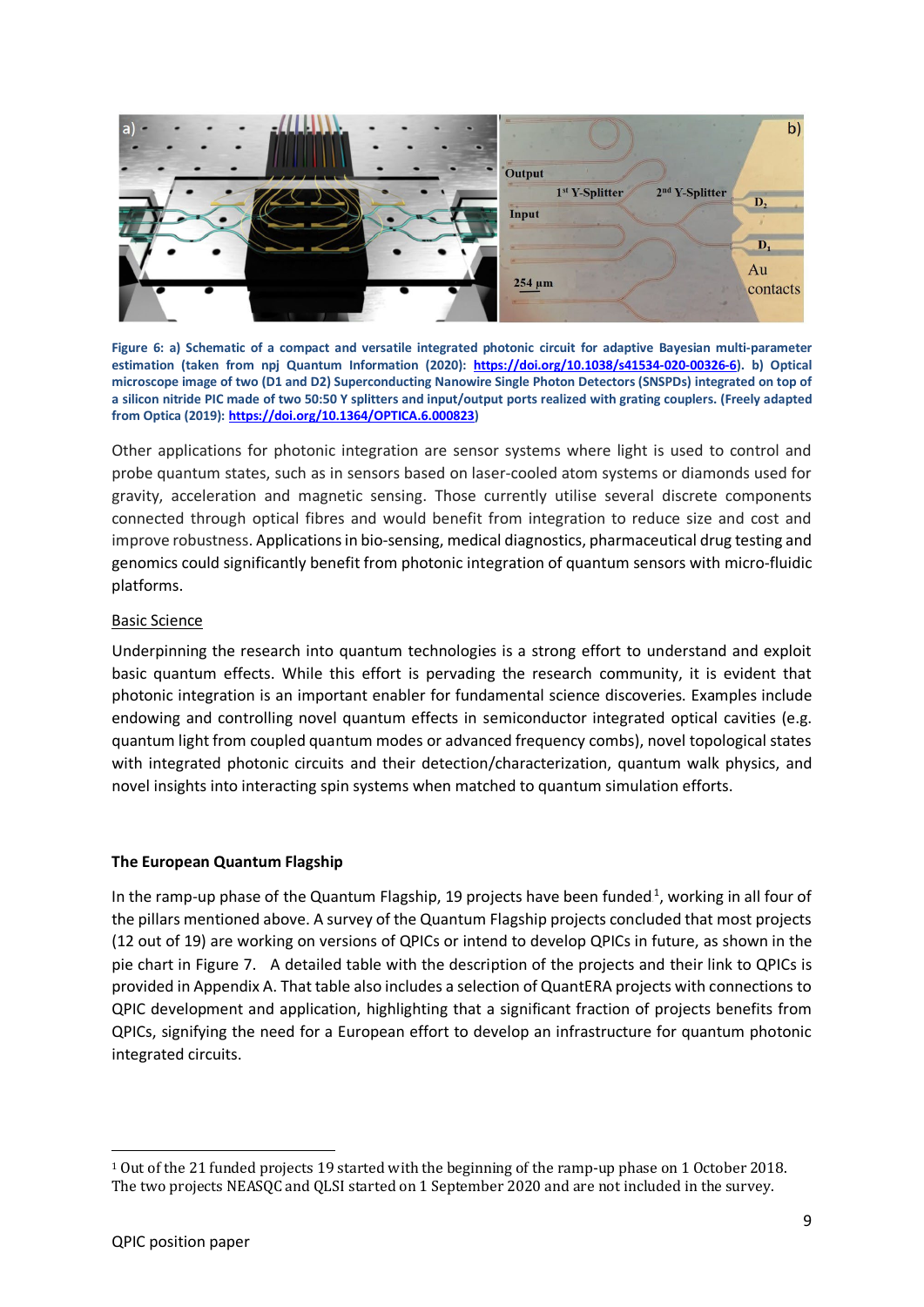

**Figure 6: a) Schematic of a compact and versatile integrated photonic circuit for adaptive Bayesian multi-parameter estimation (taken from npj Quantum Information (2020): [https://doi.org/10.1038/s41534-020-00326-6\)](https://doi.org/10.1038/s41534-020-00326-6). b) Optical microscope image of two (D1 and D2) Superconducting Nanowire Single Photon Detectors (SNSPDs) integrated on top of a silicon nitride PIC made of two 50:50 Y splitters and input/output ports realized with grating couplers. (Freely adapted from Optica (2019)[: https://doi.org/10.1364/OPTICA.6.000823\)](https://doi.org/10.1364/OPTICA.6.000823)**

Other applications for photonic integration are sensor systems where light is used to control and probe quantum states, such as in sensors based on laser-cooled atom systems or diamonds used for gravity, acceleration and magnetic sensing. Those currently utilise several discrete components connected through optical fibres and would benefit from integration to reduce size and cost and improve robustness. Applications in bio-sensing, medical diagnostics, pharmaceutical drug testing and genomics could significantly benefit from photonic integration of quantum sensors with micro-fluidic platforms.

#### Basic Science

Underpinning the research into quantum technologies is a strong effort to understand and exploit basic quantum effects. While this effort is pervading the research community, it is evident that photonic integration is an important enabler for fundamental science discoveries. Examples include endowing and controlling novel quantum effects in semiconductor integrated optical cavities (e.g. quantum light from coupled quantum modes or advanced frequency combs), novel topological states with integrated photonic circuits and their detection/characterization, quantum walk physics, and novel insights into interacting spin systems when matched to quantum simulation efforts.

#### **The European Quantum Flagship**

In the ramp-up phase of the Quantum Flagship, 19 projects have been funded $^1$ , working in all four of the pillars mentioned above. A survey of the Quantum Flagship projects concluded that most projects (12 out of 19) are working on versions of QPICs or intend to develop QPICs in future, as shown in the pie chart in Figure 7. A detailed table with the description of the projects and their link to QPICs is provided in Appendix A. That table also includes a selection of QuantERA projects with connections to QPIC development and application, highlighting that a significant fraction of projects benefits from QPICs, signifying the need for a European effort to develop an infrastructure for quantum photonic integrated circuits.

<sup>1</sup> Out of the 21 funded projects 19 started with the beginning of the ramp-up phase on 1 October 2018. The two projects NEASQC and QLSI started on 1 September 2020 and are not included in the survey.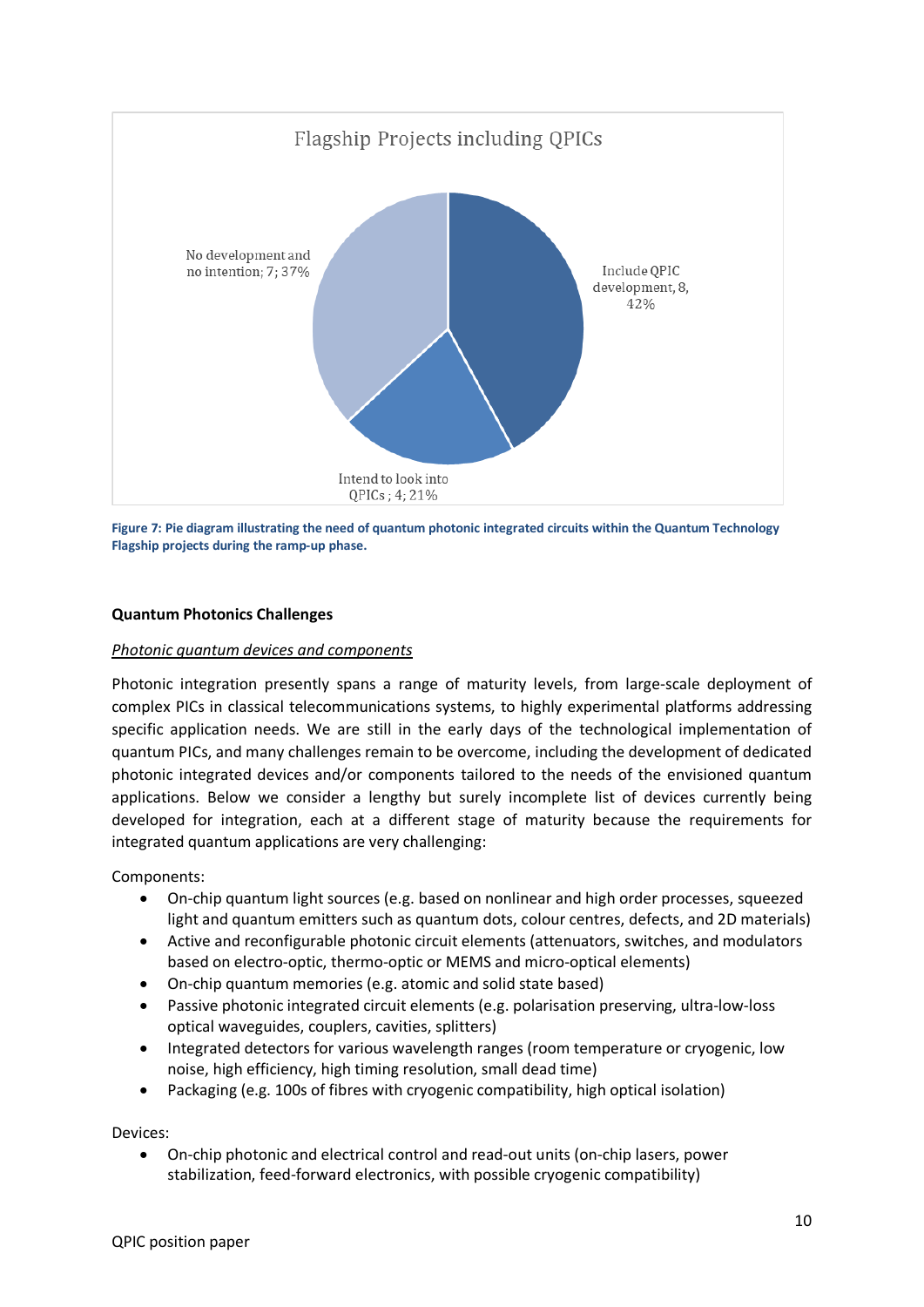

**Figure 7: Pie diagram illustrating the need of quantum photonic integrated circuits within the Quantum Technology Flagship projects during the ramp-up phase.**

# **Quantum Photonics Challenges**

# *Photonic quantum devices and components*

Photonic integration presently spans a range of maturity levels, from large-scale deployment of complex PICs in classical telecommunications systems, to highly experimental platforms addressing specific application needs. We are still in the early days of the technological implementation of quantum PICs, and many challenges remain to be overcome, including the development of dedicated photonic integrated devices and/or components tailored to the needs of the envisioned quantum applications. Below we consider a lengthy but surely incomplete list of devices currently being developed for integration, each at a different stage of maturity because the requirements for integrated quantum applications are very challenging:

Components:

- On-chip quantum light sources (e.g. based on nonlinear and high order processes, squeezed light and quantum emitters such as quantum dots, colour centres, defects, and 2D materials)
- Active and reconfigurable photonic circuit elements (attenuators, switches, and modulators based on electro-optic, thermo-optic or MEMS and micro-optical elements)
- On-chip quantum memories (e.g. atomic and solid state based)
- Passive photonic integrated circuit elements (e.g. polarisation preserving, ultra-low-loss optical waveguides, couplers, cavities, splitters)
- Integrated detectors for various wavelength ranges (room temperature or cryogenic, low noise, high efficiency, high timing resolution, small dead time)
- Packaging (e.g. 100s of fibres with cryogenic compatibility, high optical isolation)

Devices:

• On-chip photonic and electrical control and read-out units (on-chip lasers, power stabilization, feed-forward electronics, with possible cryogenic compatibility)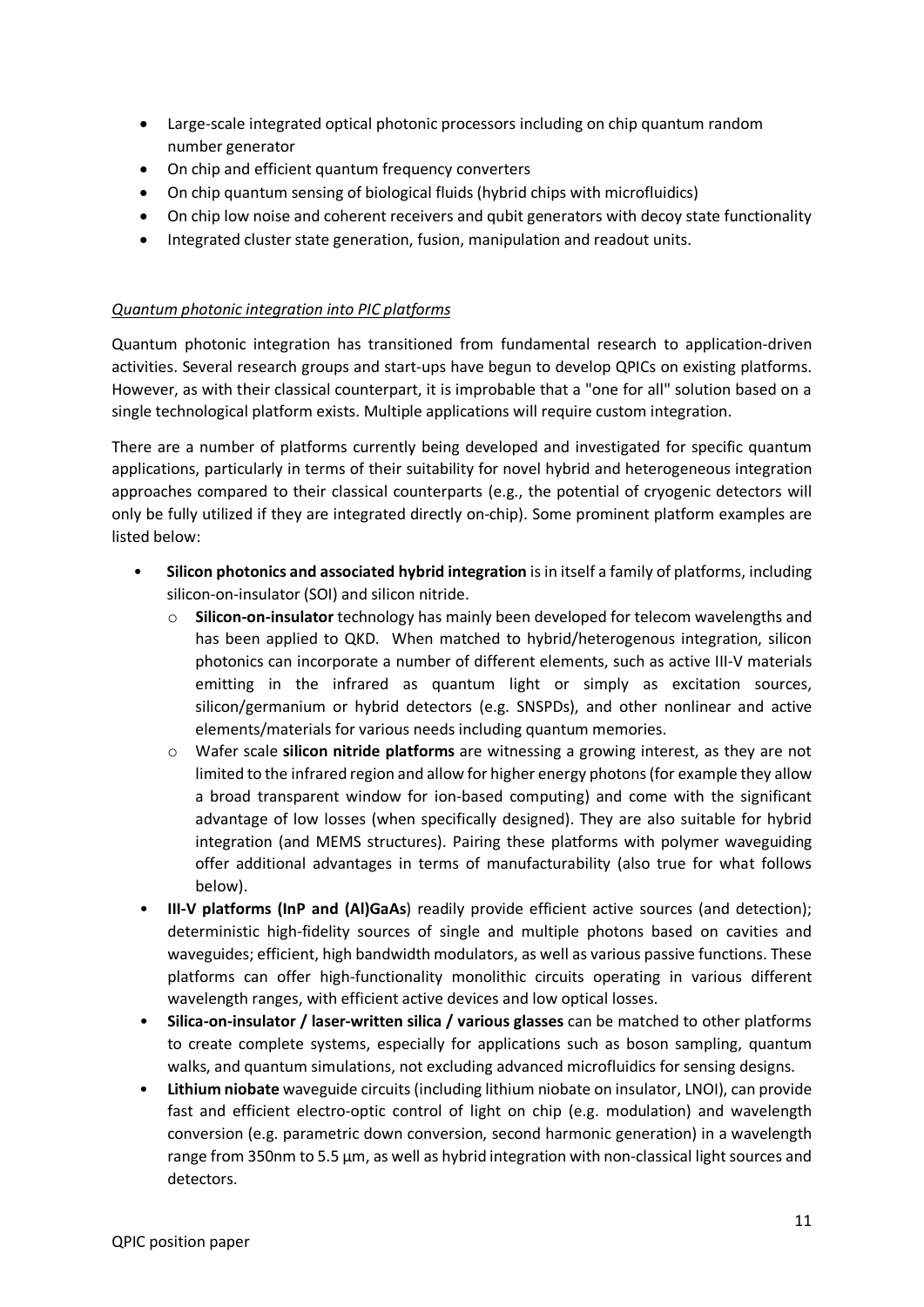- Large-scale integrated optical photonic processors including on chip quantum random number generator
- On chip and efficient quantum frequency converters
- On chip quantum sensing of biological fluids (hybrid chips with microfluidics)
- On chip low noise and coherent receivers and qubit generators with decoy state functionality
- Integrated cluster state generation, fusion, manipulation and readout units.

#### *Quantum photonic integration into PIC platforms*

Quantum photonic integration has transitioned from fundamental research to application-driven activities. Several research groups and start-ups have begun to develop QPICs on existing platforms. However, as with their classical counterpart, it is improbable that a "one for all" solution based on a single technological platform exists. Multiple applications will require custom integration.

There are a number of platforms currently being developed and investigated for specific quantum applications, particularly in terms of their suitability for novel hybrid and heterogeneous integration approaches compared to their classical counterparts (e.g., the potential of cryogenic detectors will only be fully utilized if they are integrated directly on-chip). Some prominent platform examples are listed below:

- **Silicon photonics and associated hybrid integration** is in itself a family of platforms, including silicon-on-insulator (SOI) and silicon nitride.
	- o **Silicon-on-insulator** technology has mainly been developed for telecom wavelengths and has been applied to QKD. When matched to hybrid/heterogenous integration, silicon photonics can incorporate a number of different elements, such as active III-V materials emitting in the infrared as quantum light or simply as excitation sources, silicon/germanium or hybrid detectors (e.g. SNSPDs), and other nonlinear and active elements/materials for various needs including quantum memories.
	- o Wafer scale **silicon nitride platforms** are witnessing a growing interest, as they are not limited to the infrared region and allow for higher energy photons (for example they allow a broad transparent window for ion-based computing) and come with the significant advantage of low losses (when specifically designed). They are also suitable for hybrid integration (and MEMS structures). Pairing these platforms with polymer waveguiding offer additional advantages in terms of manufacturability (also true for what follows below).
- **III-V platforms (InP and (Al)GaAs**) readily provide efficient active sources (and detection); deterministic high-fidelity sources of single and multiple photons based on cavities and waveguides; efficient, high bandwidth modulators, as well as various passive functions. These platforms can offer high-functionality monolithic circuits operating in various different wavelength ranges, with efficient active devices and low optical losses.
- **Silica-on-insulator / laser-written silica / various glasses** can be matched to other platforms to create complete systems, especially for applications such as boson sampling, quantum walks, and quantum simulations, not excluding advanced microfluidics for sensing designs.
- **Lithium niobate** waveguide circuits (including lithium niobate on insulator, LNOI), can provide fast and efficient electro-optic control of light on chip (e.g. modulation) and wavelength conversion (e.g. parametric down conversion, second harmonic generation) in a wavelength range from 350nm to 5.5 µm, as well as hybrid integration with non-classical light sources and detectors.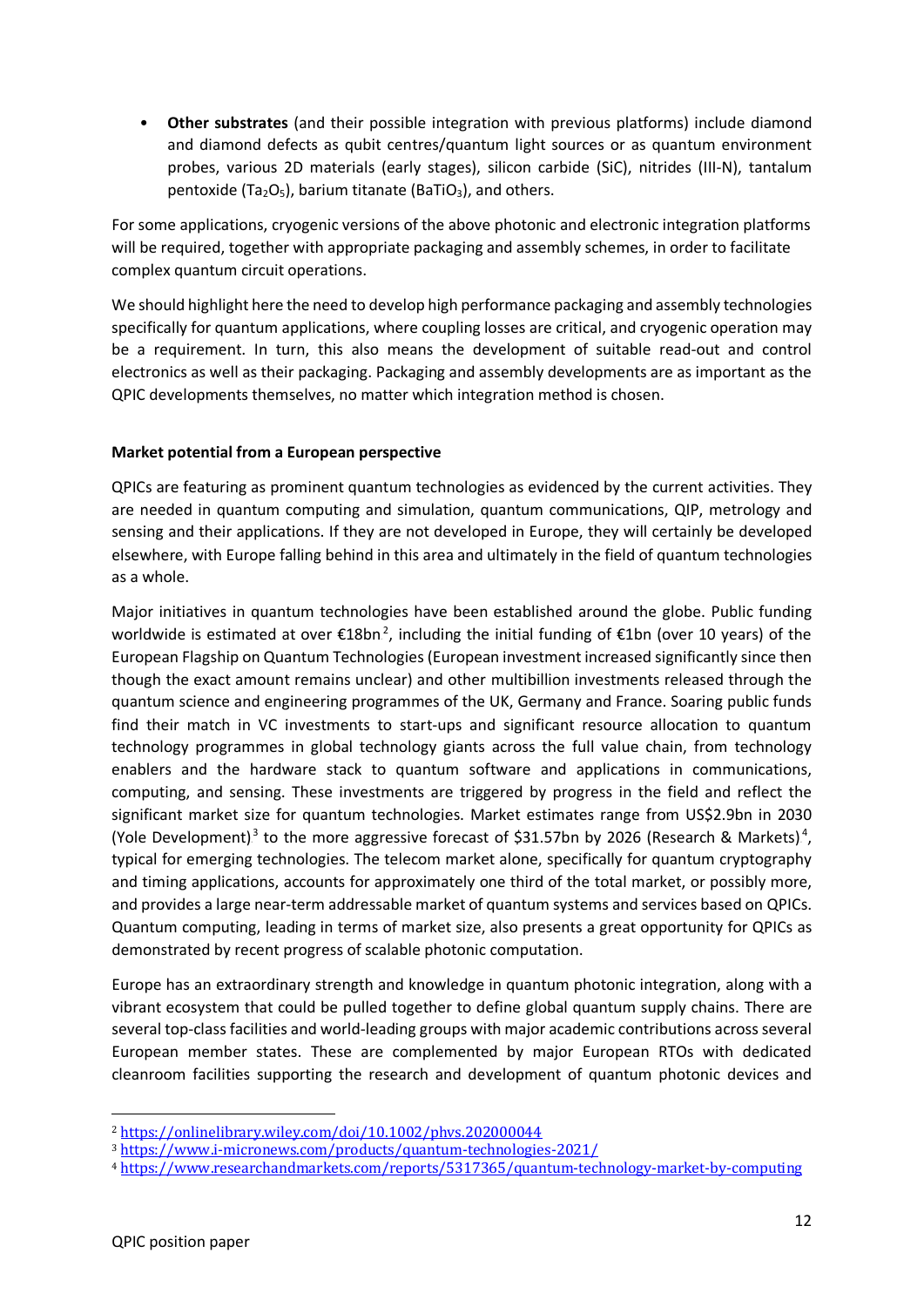• **Other substrates** (and their possible integration with previous platforms) include diamond and diamond defects as qubit centres/quantum light sources or as quantum environment probes, various 2D materials (early stages), silicon carbide (SiC), nitrides (III-N), tantalum pentoxide (Ta<sub>2</sub>O<sub>5</sub>), barium titanate (BaTiO<sub>3</sub>), and others.

For some applications, cryogenic versions of the above photonic and electronic integration platforms will be required, together with appropriate packaging and assembly schemes, in order to facilitate complex quantum circuit operations.

We should highlight here the need to develop high performance packaging and assembly technologies specifically for quantum applications, where coupling losses are critical, and cryogenic operation may be a requirement. In turn, this also means the development of suitable read-out and control electronics as well as their packaging. Packaging and assembly developments are as important as the QPIC developments themselves, no matter which integration method is chosen.

# **Market potential from a European perspective**

QPICs are featuring as prominent quantum technologies as evidenced by the current activities. They are needed in quantum computing and simulation, quantum communications, QIP, metrology and sensing and their applications. If they are not developed in Europe, they will certainly be developed elsewhere, with Europe falling behind in this area and ultimately in the field of quantum technologies as a whole.

Major initiatives in quantum technologies have been established around the globe. Public funding worldwide is estimated at over  $\epsilon$ 18bn<sup>2</sup>, including the initial funding of  $\epsilon$ 1bn (over 10 years) of the European Flagship on Quantum Technologies(European investment increased significantly since then though the exact amount remains unclear) and other multibillion investments released through the quantum science and engineering programmes of the UK, Germany and France. Soaring public funds find their match in VC investments to start-ups and significant resource allocation to quantum technology programmes in global technology giants across the full value chain, from technology enablers and the hardware stack to quantum software and applications in communications, computing, and sensing. These investments are triggered by progress in the field and reflect the significant market size for quantum technologies. Market estimates range from US\$2.9bn in 2030 (Yole Development)<sup>3</sup> to the more aggressive forecast of \$31.57bn by 2026 (Research & Markets)<sup>4</sup>, typical for emerging technologies. The telecom market alone, specifically for quantum cryptography and timing applications, accounts for approximately one third of the total market, or possibly more, and provides a large near-term addressable market of quantum systems and services based on QPICs. Quantum computing, leading in terms of market size, also presents a great opportunity for QPICs as demonstrated by recent progress of scalable photonic computation.

Europe has an extraordinary strength and knowledge in quantum photonic integration, along with a vibrant ecosystem that could be pulled together to define global quantum supply chains. There are several top-class facilities and world-leading groups with major academic contributions across several European member states. These are complemented by major European RTOs with dedicated cleanroom facilities supporting the research and development of quantum photonic devices and

<sup>2</sup> <https://onlinelibrary.wiley.com/doi/10.1002/phvs.202000044>

<sup>3</sup> <https://www.i-micronews.com/products/quantum-technologies-2021/>

<sup>4</sup> <https://www.researchandmarkets.com/reports/5317365/quantum-technology-market-by-computing>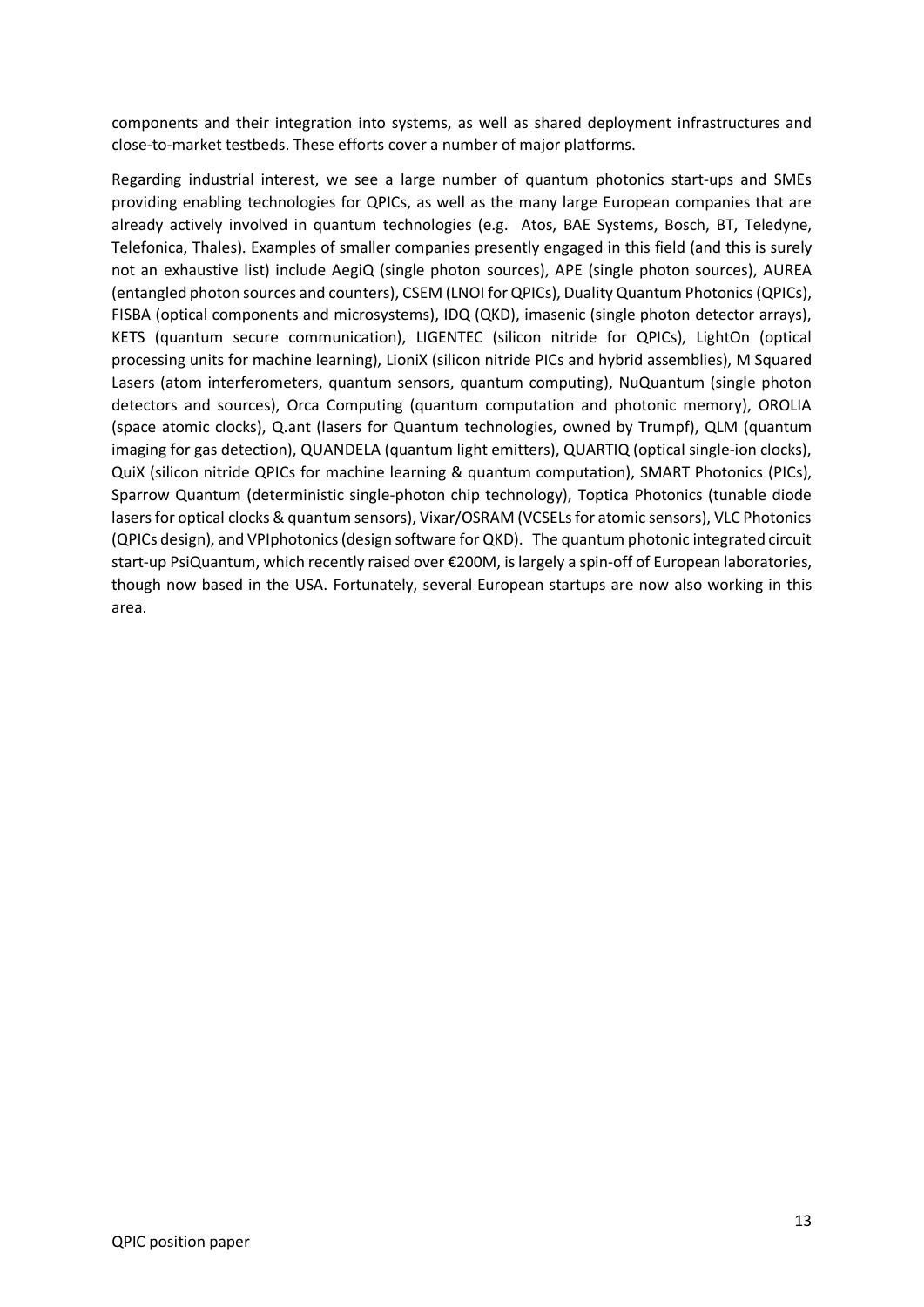components and their integration into systems, as well as shared deployment infrastructures and close-to-market testbeds. These efforts cover a number of major platforms.

Regarding industrial interest, we see a large number of quantum photonics start-ups and SMEs providing enabling technologies for QPICs, as well as the many large European companies that are already actively involved in quantum technologies (e.g. Atos, BAE Systems, Bosch, BT, Teledyne, Telefonica, Thales). Examples of smaller companies presently engaged in this field (and this is surely not an exhaustive list) include AegiQ (single photon sources), APE (single photon sources), AUREA (entangled photon sources and counters), CSEM (LNOI for QPICs), Duality Quantum Photonics (QPICs), FISBA (optical components and microsystems), IDQ (QKD), imasenic (single photon detector arrays), KETS (quantum secure communication), LIGENTEC (silicon nitride for QPICs), LightOn (optical processing units for machine learning), LioniX (silicon nitride PICs and hybrid assemblies), M Squared Lasers (atom interferometers, quantum sensors, quantum computing), NuQuantum (single photon detectors and sources), Orca Computing (quantum computation and photonic memory), OROLIA (space atomic clocks), Q.ant (lasers for Quantum technologies, owned by Trumpf), QLM (quantum imaging for gas detection), QUANDELA (quantum light emitters), QUARTIQ (optical single-ion clocks), QuiX (silicon nitride QPICs for machine learning & quantum computation), SMART Photonics (PICs), Sparrow Quantum (deterministic single-photon chip technology), Toptica Photonics (tunable diode lasers for optical clocks & quantum sensors), Vixar/OSRAM (VCSELs for atomic sensors), VLC Photonics (QPICs design), and VPIphotonics (design software for QKD). The quantum photonic integrated circuit start-up PsiQuantum, which recently raised over €200M, is largely a spin-off of European laboratories, though now based in the USA. Fortunately, several European startups are now also working in this area.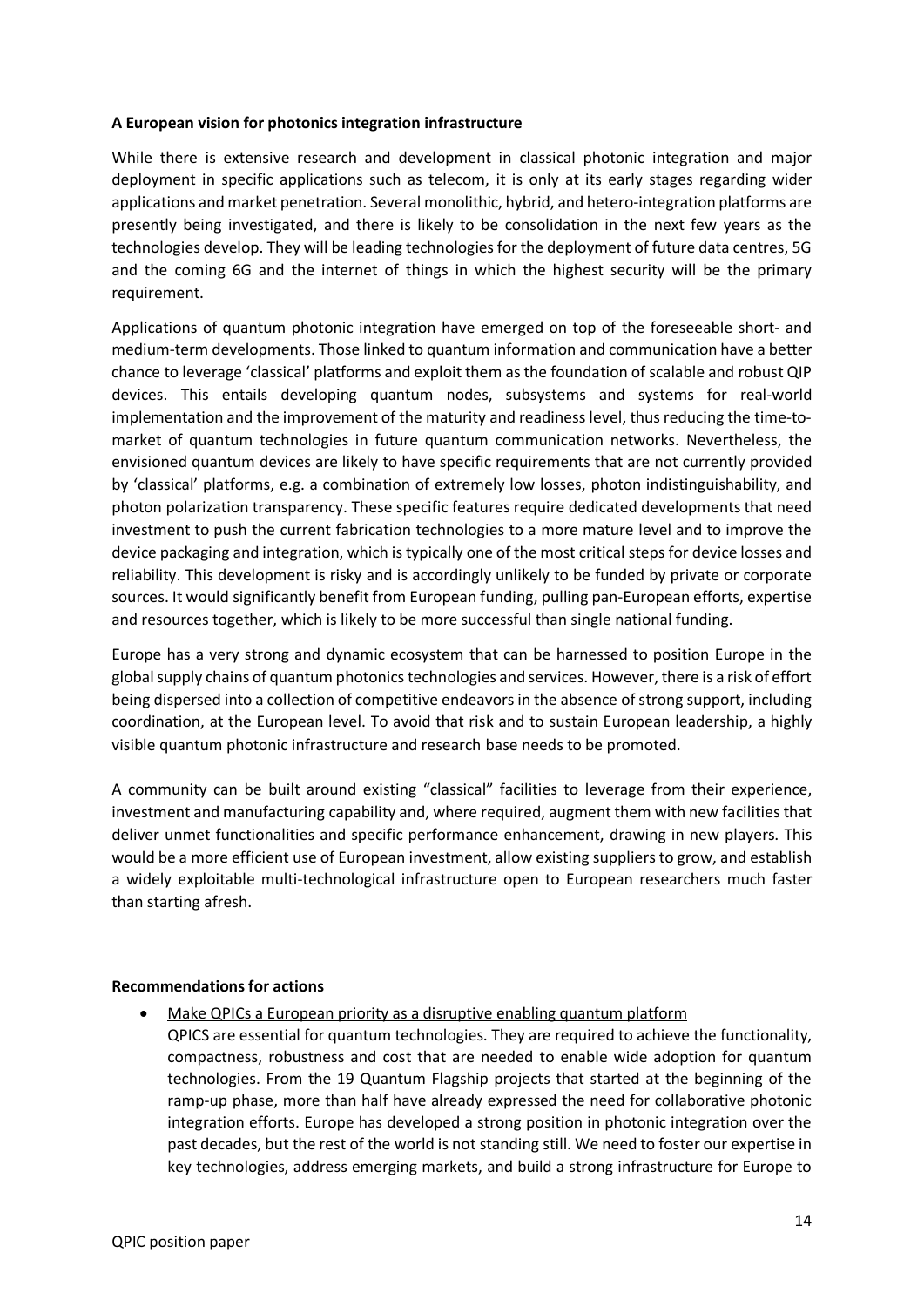#### **A European vision for photonics integration infrastructure**

While there is extensive research and development in classical photonic integration and major deployment in specific applications such as telecom, it is only at its early stages regarding wider applications and market penetration. Several monolithic, hybrid, and hetero-integration platforms are presently being investigated, and there is likely to be consolidation in the next few years as the technologies develop. They will be leading technologies for the deployment of future data centres, 5G and the coming 6G and the internet of things in which the highest security will be the primary requirement.

Applications of quantum photonic integration have emerged on top of the foreseeable short- and medium-term developments. Those linked to quantum information and communication have a better chance to leverage 'classical' platforms and exploit them as the foundation of scalable and robust QIP devices. This entails developing quantum nodes, subsystems and systems for real-world implementation and the improvement of the maturity and readiness level, thus reducing the time-tomarket of quantum technologies in future quantum communication networks. Nevertheless, the envisioned quantum devices are likely to have specific requirements that are not currently provided by 'classical' platforms, e.g. a combination of extremely low losses, photon indistinguishability, and photon polarization transparency. These specific features require dedicated developments that need investment to push the current fabrication technologies to a more mature level and to improve the device packaging and integration, which is typically one of the most critical steps for device losses and reliability. This development is risky and is accordingly unlikely to be funded by private or corporate sources. It would significantly benefit from European funding, pulling pan-European efforts, expertise and resources together, which is likely to be more successful than single national funding.

Europe has a very strong and dynamic ecosystem that can be harnessed to position Europe in the global supply chains of quantum photonics technologies and services. However, there is a risk of effort being dispersed into a collection of competitive endeavors in the absence of strong support, including coordination, at the European level. To avoid that risk and to sustain European leadership, a highly visible quantum photonic infrastructure and research base needs to be promoted.

A community can be built around existing "classical" facilities to leverage from their experience, investment and manufacturing capability and, where required, augment them with new facilities that deliver unmet functionalities and specific performance enhancement, drawing in new players. This would be a more efficient use of European investment, allow existing suppliers to grow, and establish a widely exploitable multi-technological infrastructure open to European researchers much faster than starting afresh.

#### **Recommendations for actions**

- Make QPICs a European priority as a disruptive enabling quantum platform
	- QPICS are essential for quantum technologies. They are required to achieve the functionality, compactness, robustness and cost that are needed to enable wide adoption for quantum technologies. From the 19 Quantum Flagship projects that started at the beginning of the ramp-up phase, more than half have already expressed the need for collaborative photonic integration efforts. Europe has developed a strong position in photonic integration over the past decades, but the rest of the world is not standing still. We need to foster our expertise in key technologies, address emerging markets, and build a strong infrastructure for Europe to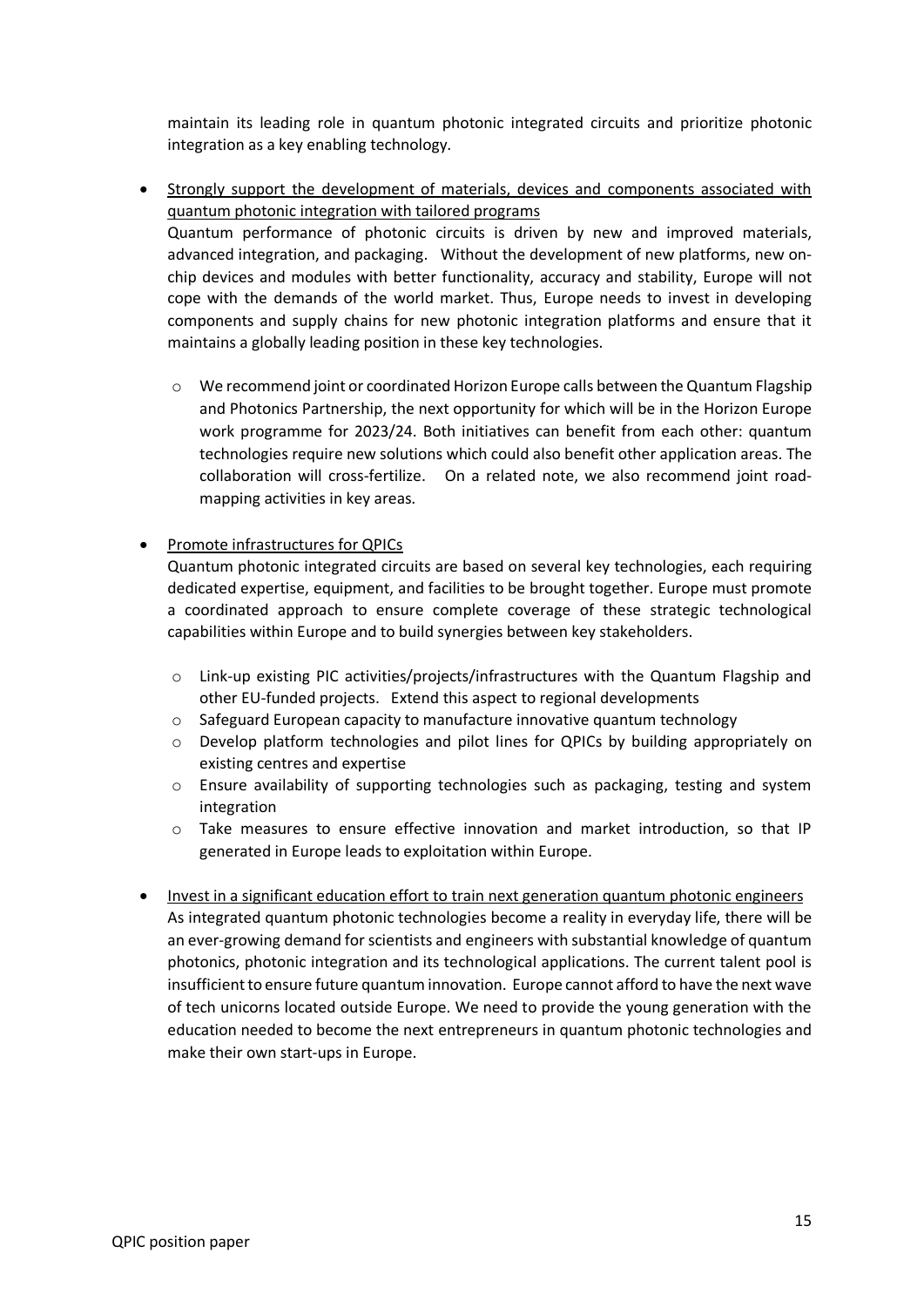maintain its leading role in quantum photonic integrated circuits and prioritize photonic integration as a key enabling technology.

- Strongly support the development of materials, devices and components associated with quantum photonic integration with tailored programs Quantum performance of photonic circuits is driven by new and improved materials, advanced integration, and packaging. Without the development of new platforms, new onchip devices and modules with better functionality, accuracy and stability, Europe will not cope with the demands of the world market. Thus, Europe needs to invest in developing components and supply chains for new photonic integration platforms and ensure that it maintains a globally leading position in these key technologies.
	- $\circ$  We recommend joint or coordinated Horizon Europe calls between the Quantum Flagship and Photonics Partnership, the next opportunity for which will be in the Horizon Europe work programme for 2023/24. Both initiatives can benefit from each other: quantum technologies require new solutions which could also benefit other application areas. The collaboration will cross-fertilize. On a related note, we also recommend joint roadmapping activities in key areas.

# • Promote infrastructures for QPICs

Quantum photonic integrated circuits are based on several key technologies, each requiring dedicated expertise, equipment, and facilities to be brought together. Europe must promote a coordinated approach to ensure complete coverage of these strategic technological capabilities within Europe and to build synergies between key stakeholders.

- o Link-up existing PIC activities/projects/infrastructures with the Quantum Flagship and other EU-funded projects. Extend this aspect to regional developments
- o Safeguard European capacity to manufacture innovative quantum technology
- o Develop platform technologies and pilot lines for QPICs by building appropriately on existing centres and expertise
- o Ensure availability of supporting technologies such as packaging, testing and system integration
- $\circ$  Take measures to ensure effective innovation and market introduction, so that IP generated in Europe leads to exploitation within Europe.
- Invest in a significant education effort to train next generation quantum photonic engineers As integrated quantum photonic technologies become a reality in everyday life, there will be an ever-growing demand for scientists and engineers with substantial knowledge of quantum photonics, photonic integration and its technological applications. The current talent pool is insufficient to ensure future quantuminnovation. Europe cannot afford to have the next wave of tech unicorns located outside Europe. We need to provide the young generation with the education needed to become the next entrepreneurs in quantum photonic technologies and make their own start-ups in Europe.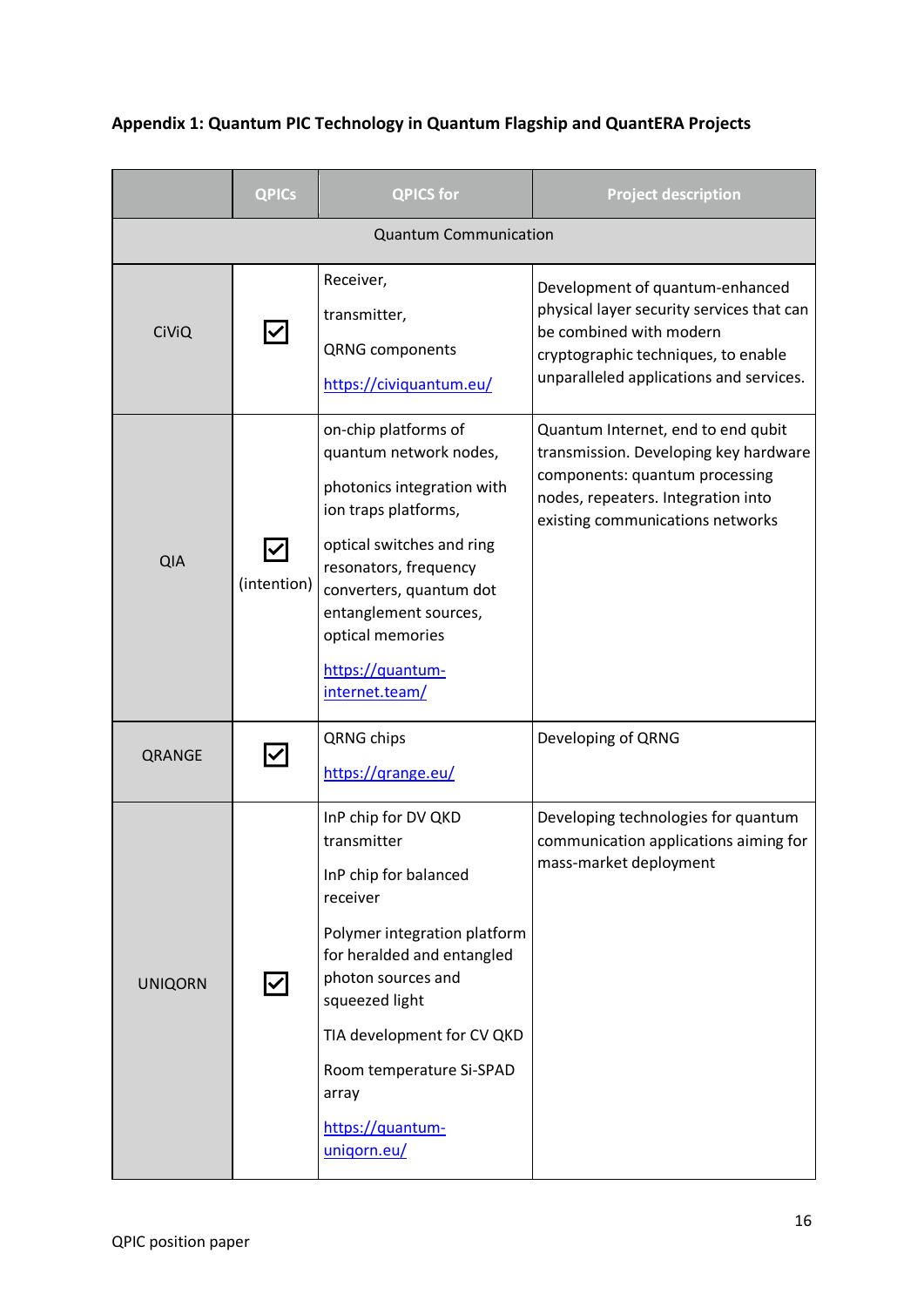|                              | <b>QPICs</b> | <b>QPICS for</b>                                                                                                                                                                                                                                                                    | <b>Project description</b>                                                                                                                                                                |
|------------------------------|--------------|-------------------------------------------------------------------------------------------------------------------------------------------------------------------------------------------------------------------------------------------------------------------------------------|-------------------------------------------------------------------------------------------------------------------------------------------------------------------------------------------|
| <b>Quantum Communication</b> |              |                                                                                                                                                                                                                                                                                     |                                                                                                                                                                                           |
| <b>CiViQ</b>                 |              | Receiver,<br>transmitter,<br><b>QRNG</b> components<br>https://civiquantum.eu/                                                                                                                                                                                                      | Development of quantum-enhanced<br>physical layer security services that can<br>be combined with modern<br>cryptographic techniques, to enable<br>unparalleled applications and services. |
| <b>QIA</b>                   | (intention)  | on-chip platforms of<br>quantum network nodes,<br>photonics integration with<br>ion traps platforms,<br>optical switches and ring<br>resonators, frequency<br>converters, quantum dot<br>entanglement sources,<br>optical memories<br>https://quantum-<br>internet.team/            | Quantum Internet, end to end qubit<br>transmission. Developing key hardware<br>components: quantum processing<br>nodes, repeaters. Integration into<br>existing communications networks   |
| QRANGE                       |              | QRNG chips<br>https://grange.eu/                                                                                                                                                                                                                                                    | Developing of QRNG                                                                                                                                                                        |
| <b>UNIQORN</b>               |              | InP chip for DV QKD<br>transmitter<br>InP chip for balanced<br>receiver<br>Polymer integration platform<br>for heralded and entangled<br>photon sources and<br>squeezed light<br>TIA development for CV QKD<br>Room temperature Si-SPAD<br>array<br>https://quantum-<br>unigorn.eu/ | Developing technologies for quantum<br>communication applications aiming for<br>mass-market deployment                                                                                    |

# **Appendix 1: Quantum PIC Technology in Quantum Flagship and QuantERA Projects**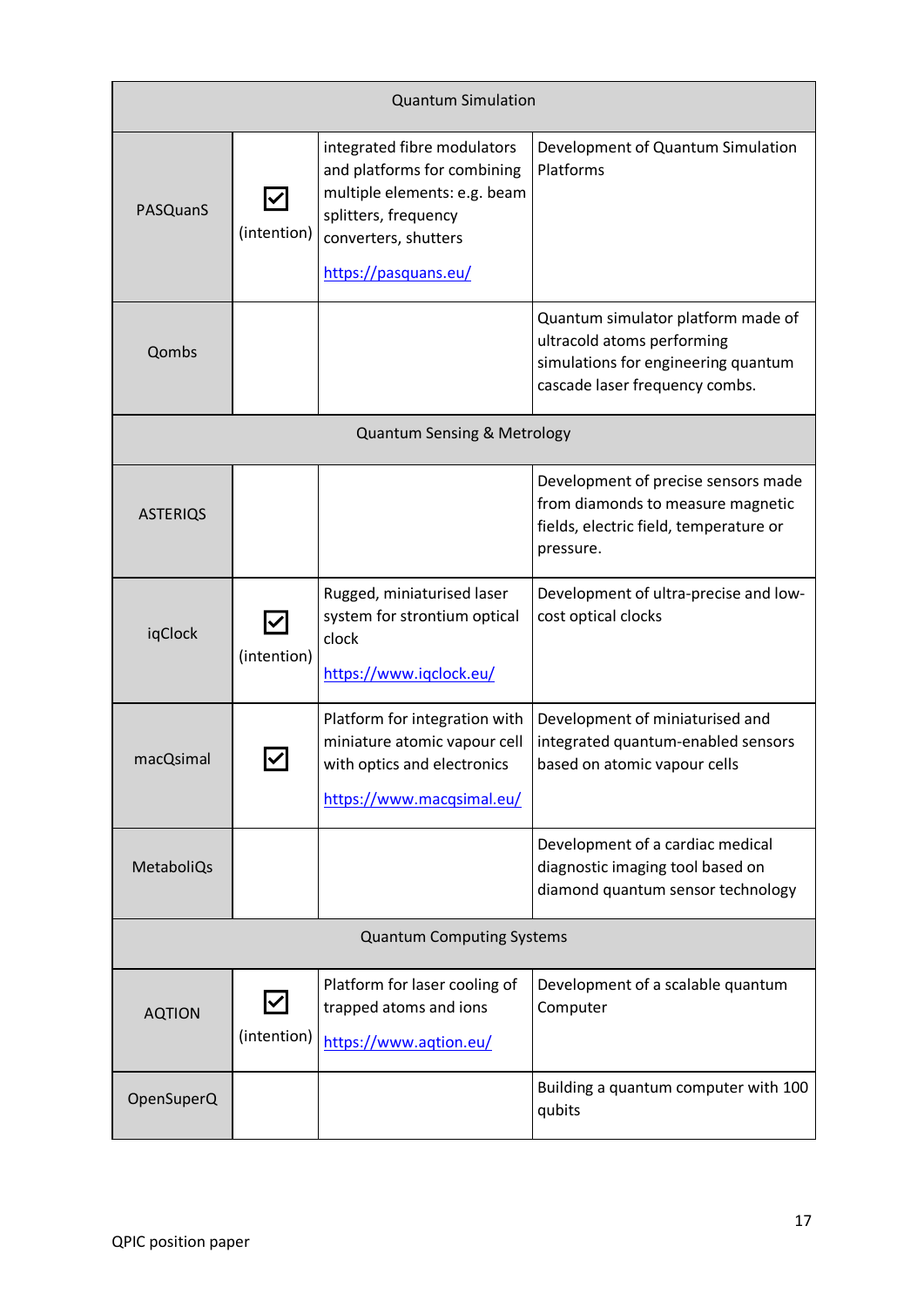| <b>Quantum Simulation</b>              |                                     |                                                                                                                                                                    |                                                                                                                                           |
|----------------------------------------|-------------------------------------|--------------------------------------------------------------------------------------------------------------------------------------------------------------------|-------------------------------------------------------------------------------------------------------------------------------------------|
| PASQuanS                               | $\blacktriangledown$<br>(intention) | integrated fibre modulators<br>and platforms for combining<br>multiple elements: e.g. beam<br>splitters, frequency<br>converters, shutters<br>https://pasquans.eu/ | Development of Quantum Simulation<br>Platforms                                                                                            |
| Qombs                                  |                                     |                                                                                                                                                                    | Quantum simulator platform made of<br>ultracold atoms performing<br>simulations for engineering quantum<br>cascade laser frequency combs. |
| <b>Quantum Sensing &amp; Metrology</b> |                                     |                                                                                                                                                                    |                                                                                                                                           |
| <b>ASTERIQS</b>                        |                                     |                                                                                                                                                                    | Development of precise sensors made<br>from diamonds to measure magnetic<br>fields, electric field, temperature or<br>pressure.           |
| iqClock                                | (intention)                         | Rugged, miniaturised laser<br>system for strontium optical<br>clock<br>https://www.iqclock.eu/                                                                     | Development of ultra-precise and low-<br>cost optical clocks                                                                              |
| macQsimal                              |                                     | Platform for integration with<br>miniature atomic vapour cell<br>with optics and electronics<br>https://www.macqsimal.eu/                                          | Development of miniaturised and<br>integrated quantum-enabled sensors<br>based on atomic vapour cells                                     |
| MetaboliQs                             |                                     |                                                                                                                                                                    | Development of a cardiac medical<br>diagnostic imaging tool based on<br>diamond quantum sensor technology                                 |
| <b>Quantum Computing Systems</b>       |                                     |                                                                                                                                                                    |                                                                                                                                           |
| <b>AQTION</b>                          | (intention)                         | Platform for laser cooling of<br>trapped atoms and ions<br>https://www.aqtion.eu/                                                                                  | Development of a scalable quantum<br>Computer                                                                                             |
| OpenSuperQ                             |                                     |                                                                                                                                                                    | Building a quantum computer with 100<br>qubits                                                                                            |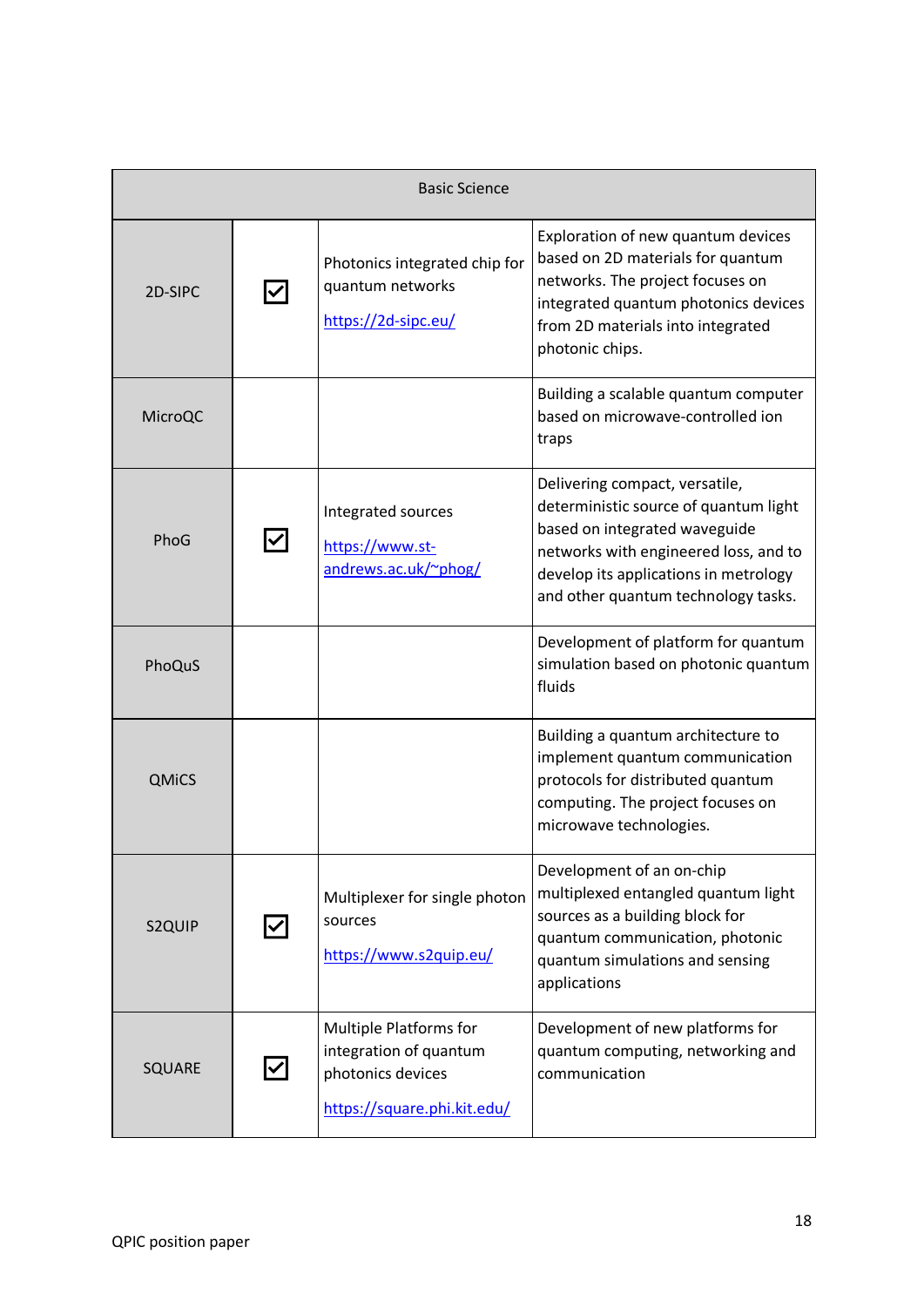| <b>Basic Science</b> |  |                                                                                                             |                                                                                                                                                                                                                                   |
|----------------------|--|-------------------------------------------------------------------------------------------------------------|-----------------------------------------------------------------------------------------------------------------------------------------------------------------------------------------------------------------------------------|
| 2D-SIPC              |  | Photonics integrated chip for<br>quantum networks<br>https://2d-sipc.eu/                                    | Exploration of new quantum devices<br>based on 2D materials for quantum<br>networks. The project focuses on<br>integrated quantum photonics devices<br>from 2D materials into integrated<br>photonic chips.                       |
| MicroQC              |  |                                                                                                             | Building a scalable quantum computer<br>based on microwave-controlled ion<br>traps                                                                                                                                                |
| PhoG                 |  | Integrated sources<br>https://www.st-<br>andrews.ac.uk/~phog/                                               | Delivering compact, versatile,<br>deterministic source of quantum light<br>based on integrated waveguide<br>networks with engineered loss, and to<br>develop its applications in metrology<br>and other quantum technology tasks. |
| PhoQuS               |  |                                                                                                             | Development of platform for quantum<br>simulation based on photonic quantum<br>fluids                                                                                                                                             |
| <b>QMiCS</b>         |  |                                                                                                             | Building a quantum architecture to<br>implement quantum communication<br>protocols for distributed quantum<br>computing. The project focuses on<br>microwave technologies.                                                        |
| S2QUIP               |  | Multiplexer for single photon<br>sources<br>https://www.s2quip.eu/                                          | Development of an on-chip<br>multiplexed entangled quantum light<br>sources as a building block for<br>quantum communication, photonic<br>quantum simulations and sensing<br>applications                                         |
| SQUARE               |  | <b>Multiple Platforms for</b><br>integration of quantum<br>photonics devices<br>https://square.phi.kit.edu/ | Development of new platforms for<br>quantum computing, networking and<br>communication                                                                                                                                            |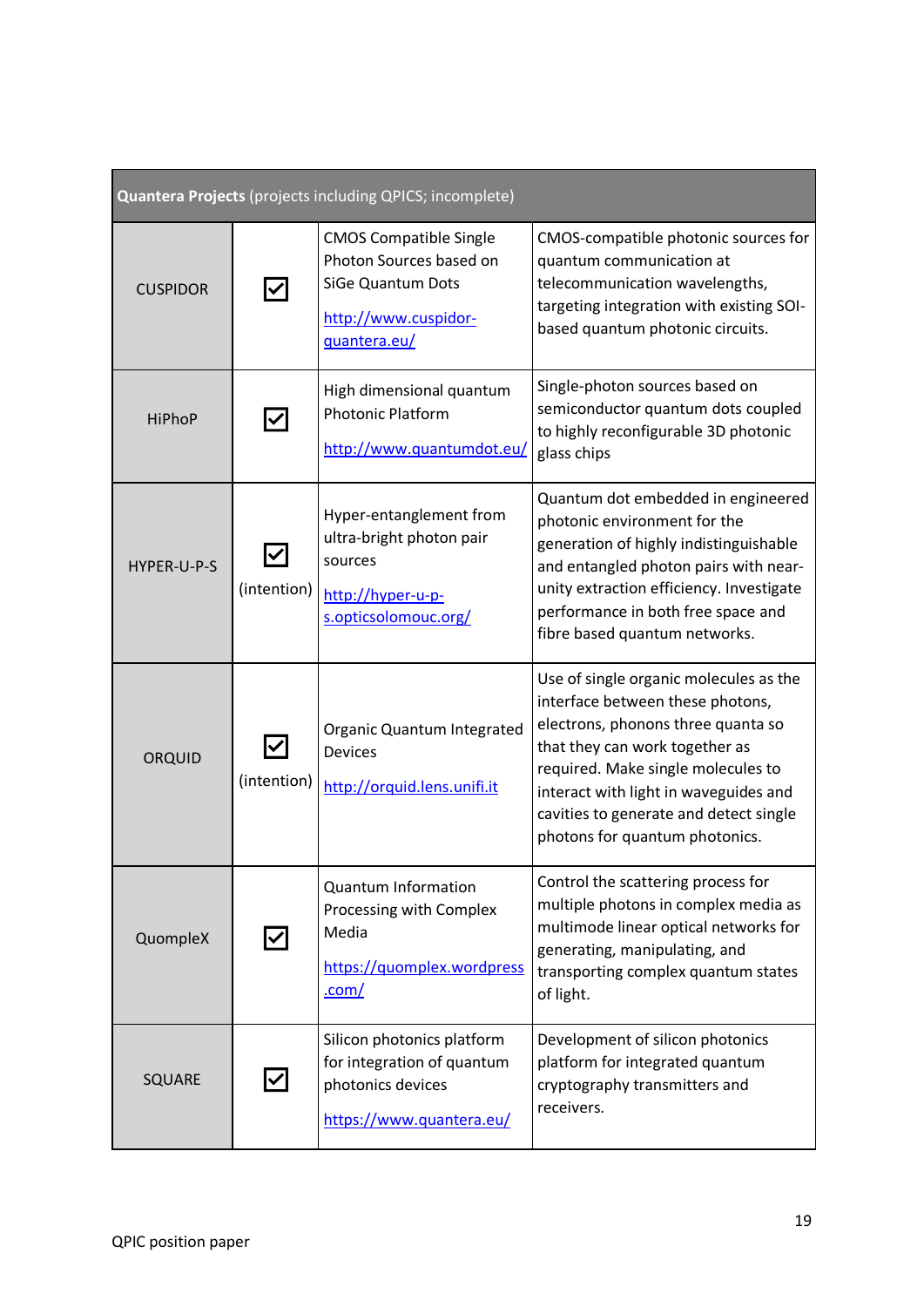| Quantera Projects (projects including QPICS; incomplete) |             |                                                                                                                       |                                                                                                                                                                                                                                                                                                               |
|----------------------------------------------------------|-------------|-----------------------------------------------------------------------------------------------------------------------|---------------------------------------------------------------------------------------------------------------------------------------------------------------------------------------------------------------------------------------------------------------------------------------------------------------|
| <b>CUSPIDOR</b>                                          |             | <b>CMOS Compatible Single</b><br>Photon Sources based on<br>SiGe Quantum Dots<br>http://www.cuspidor-<br>quantera.eu/ | CMOS-compatible photonic sources for<br>quantum communication at<br>telecommunication wavelengths,<br>targeting integration with existing SOI-<br>based quantum photonic circuits.                                                                                                                            |
| <b>HiPhoP</b>                                            |             | High dimensional quantum<br><b>Photonic Platform</b><br>http://www.quantumdot.eu/                                     | Single-photon sources based on<br>semiconductor quantum dots coupled<br>to highly reconfigurable 3D photonic<br>glass chips                                                                                                                                                                                   |
| HYPER-U-P-S                                              | (intention) | Hyper-entanglement from<br>ultra-bright photon pair<br>sources<br>http://hyper-u-p-<br>s.opticsolomouc.org/           | Quantum dot embedded in engineered<br>photonic environment for the<br>generation of highly indistinguishable<br>and entangled photon pairs with near-<br>unity extraction efficiency. Investigate<br>performance in both free space and<br>fibre based quantum networks.                                      |
| ORQUID                                                   | (intention) | Organic Quantum Integrated<br><b>Devices</b><br>http://orquid.lens.unifi.it                                           | Use of single organic molecules as the<br>interface between these photons,<br>electrons, phonons three quanta so<br>that they can work together as<br>required. Make single molecules to<br>interact with light in waveguides and<br>cavities to generate and detect single<br>photons for quantum photonics. |
| QuompleX                                                 |             | <b>Quantum Information</b><br>Processing with Complex<br>Media<br>https://quomplex.wordpress<br>.com/                 | Control the scattering process for<br>multiple photons in complex media as<br>multimode linear optical networks for<br>generating, manipulating, and<br>transporting complex quantum states<br>of light.                                                                                                      |
| SQUARE                                                   |             | Silicon photonics platform<br>for integration of quantum<br>photonics devices<br>https://www.quantera.eu/             | Development of silicon photonics<br>platform for integrated quantum<br>cryptography transmitters and<br>receivers.                                                                                                                                                                                            |